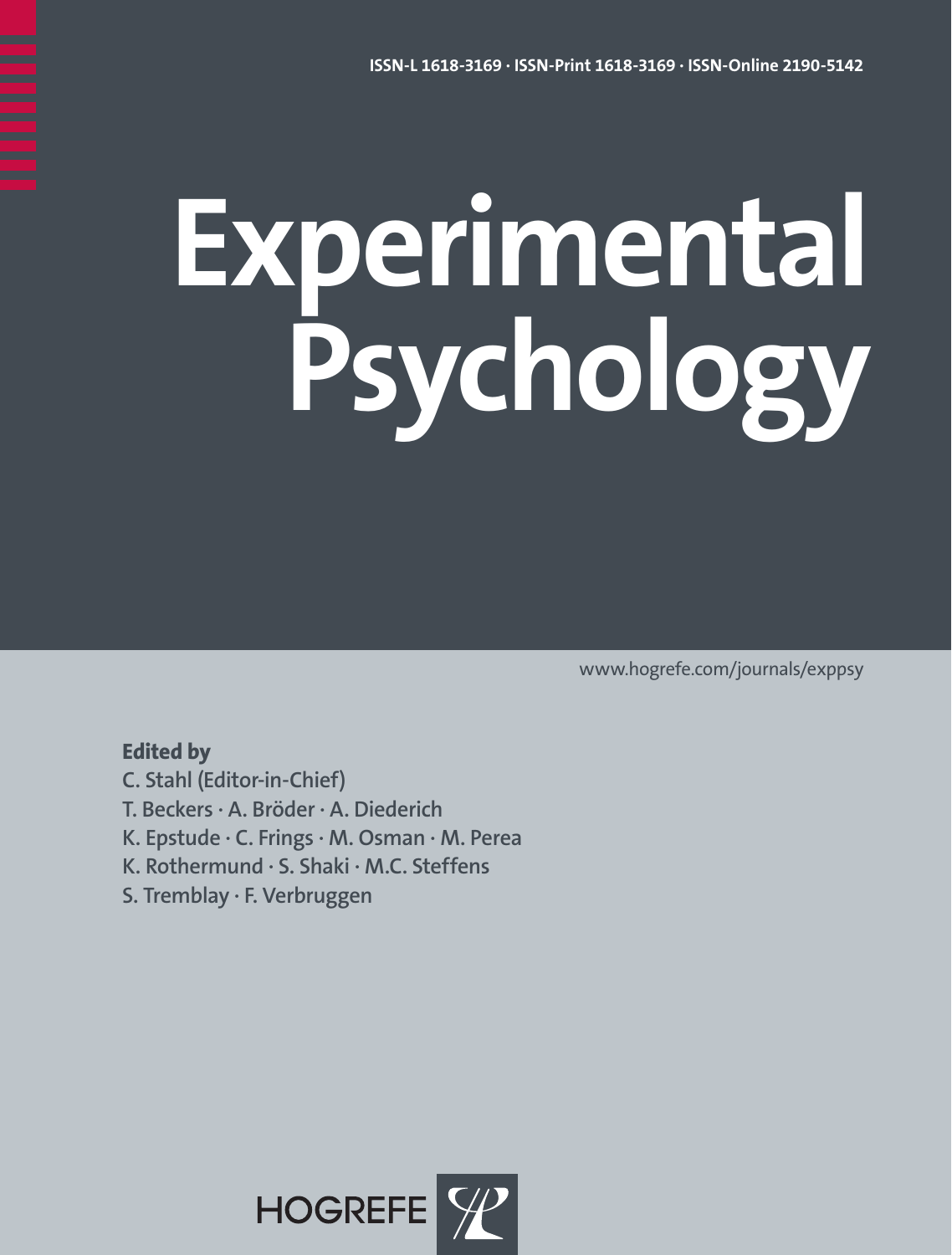# **Experimental Psychology**

www.hogrefe.com/journals/exppsy

#### **Edited by**

- **C. Stahl (Editor-in-Chief)**
- **T. Beckers · A. Bröder · A. Diederich**
- **K. Epstude · C. Frings · M. Osman · M. Perea**
- **K. Rothermund · S. Shaki · M.C. Steffens**
- **S. Tremblay · F. Verbruggen**

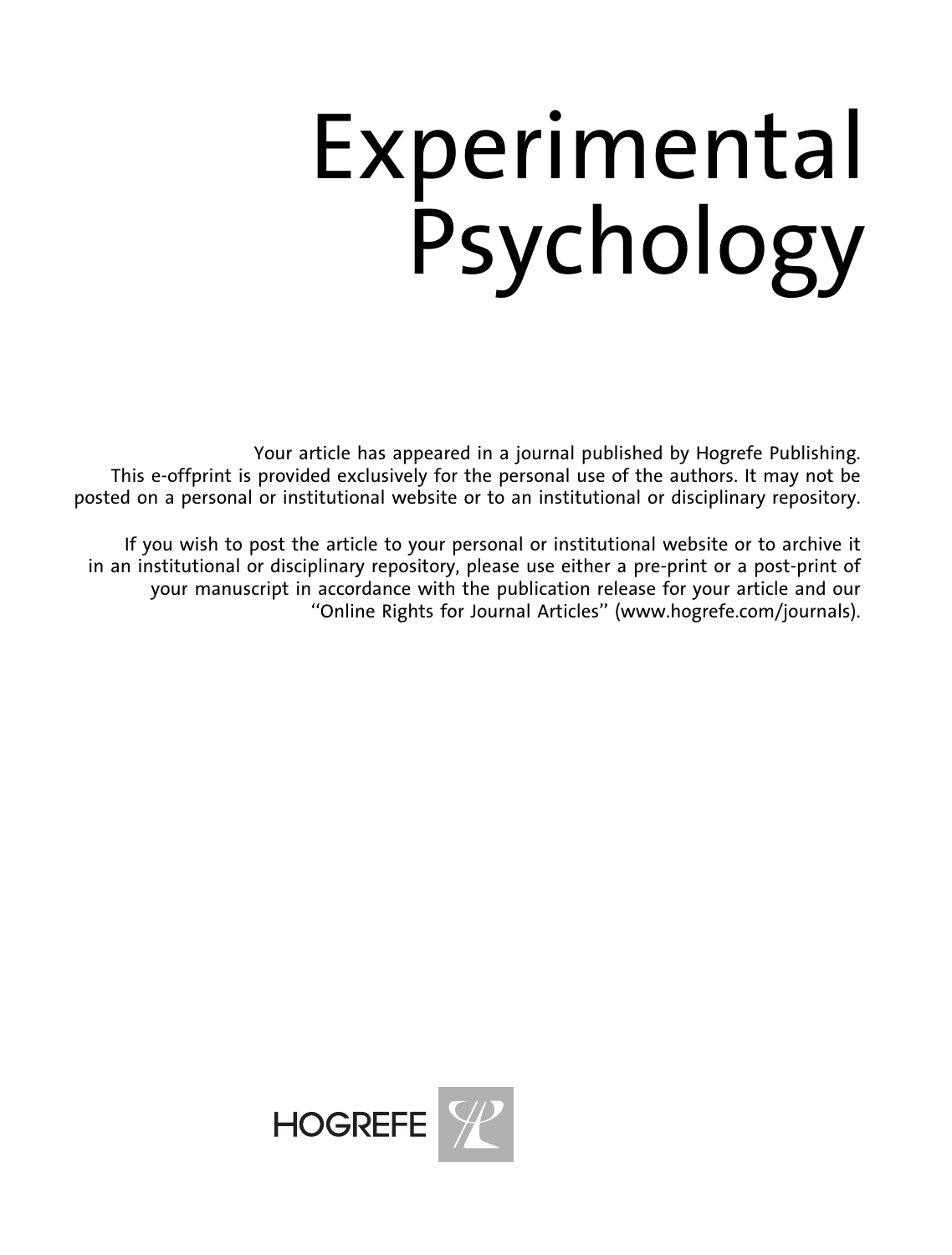## Experimental Psychology

Your article has appeared in a journal published by Hogrefe Publishing. This e-offprint is provided exclusively for the personal use of the authors. It may not be posted on a personal or institutional website or to an institutional or disciplinary repository.

If you wish to post the article to your personal or institutional website or to archive it in an institutional or disciplinary repository, please use either a pre-print or a post-print of your manuscript in accordance with the publication release for your article and our ''Online Rights for Journal Articles'' (www.hogrefe.com/journals).

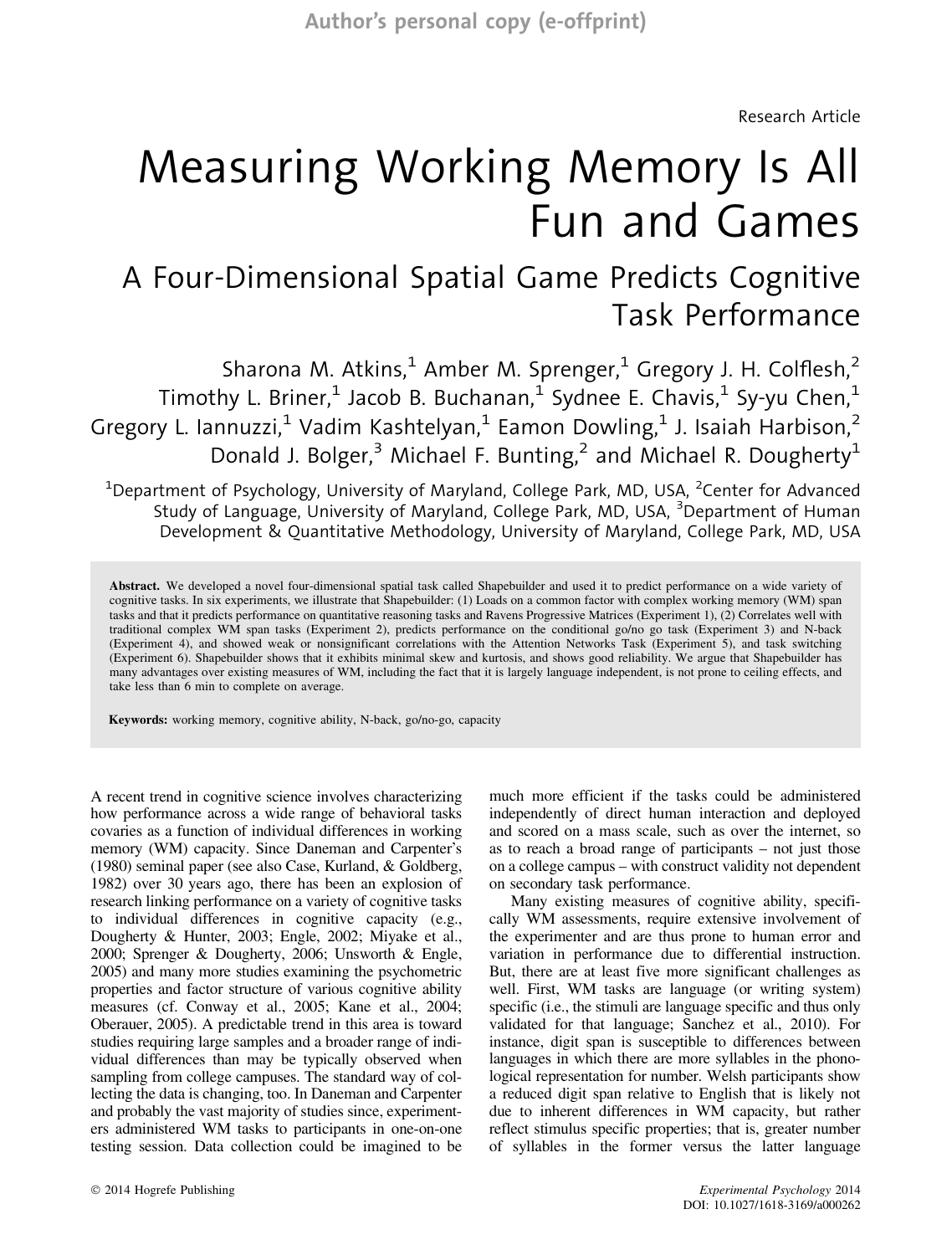### Measuring Working Memory Is All Fun and Games

#### A Four-Dimensional Spatial Game Predicts Cognitive Task Performance

Sharona M. Atkins,<sup>1</sup> Amber M. Sprenger,<sup>1</sup> Gregory J. H. Colflesh,<sup>2</sup> Timothy L. Briner,<sup>1</sup> Jacob B. Buchanan,<sup>1</sup> Sydnee E. Chavis,<sup>1</sup> Sy-yu Chen,<sup>1</sup> Gregory L. Iannuzzi,<sup>1</sup> Vadim Kashtelyan,<sup>1</sup> Eamon Dowling,<sup>1</sup> J. Isaiah Harbison,<sup>2</sup> Donald J. Bolger,<sup>3</sup> Michael F. Bunting,<sup>2</sup> and Michael R. Dougherty<sup>1</sup>

<sup>1</sup>Department of Psychology, University of Maryland, College Park, MD, USA, <sup>2</sup>Center for Advanced Study of Language, University of Maryland, College Park, MD, USA, <sup>3</sup>Department of Human Development & Quantitative Methodology, University of Maryland, College Park, MD, USA

Abstract. We developed a novel four-dimensional spatial task called Shapebuilder and used it to predict performance on a wide variety of cognitive tasks. In six experiments, we illustrate that Shapebuilder: (1) Loads on a common factor with complex working memory (WM) span tasks and that it predicts performance on quantitative reasoning tasks and Ravens Progressive Matrices (Experiment 1), (2) Correlates well with traditional complex WM span tasks (Experiment 2), predicts performance on the conditional go/no go task (Experiment 3) and N-back (Experiment 4), and showed weak or nonsignificant correlations with the Attention Networks Task (Experiment 5), and task switching (Experiment 6). Shapebuilder shows that it exhibits minimal skew and kurtosis, and shows good reliability. We argue that Shapebuilder has many advantages over existing measures of WM, including the fact that it is largely language independent, is not prone to ceiling effects, and take less than 6 min to complete on average.

Keywords: working memory, cognitive ability, N-back, go/no-go, capacity

A recent trend in cognitive science involves characterizing how performance across a wide range of behavioral tasks covaries as a function of individual differences in working memory (WM) capacity. Since Daneman and Carpenter's (1980) seminal paper (see also Case, Kurland, & Goldberg, 1982) over 30 years ago, there has been an explosion of research linking performance on a variety of cognitive tasks to individual differences in cognitive capacity (e.g., Dougherty & Hunter, 2003; Engle, 2002; Miyake et al., 2000; Sprenger & Dougherty, 2006; Unsworth & Engle, 2005) and many more studies examining the psychometric properties and factor structure of various cognitive ability measures (cf. Conway et al., 2005; Kane et al., 2004; Oberauer, 2005). A predictable trend in this area is toward studies requiring large samples and a broader range of individual differences than may be typically observed when sampling from college campuses. The standard way of collecting the data is changing, too. In Daneman and Carpenter and probably the vast majority of studies since, experimenters administered WM tasks to participants in one-on-one testing session. Data collection could be imagined to be much more efficient if the tasks could be administered independently of direct human interaction and deployed and scored on a mass scale, such as over the internet, so as to reach a broad range of participants – not just those on a college campus – with construct validity not dependent on secondary task performance.

Many existing measures of cognitive ability, specifically WM assessments, require extensive involvement of the experimenter and are thus prone to human error and variation in performance due to differential instruction. But, there are at least five more significant challenges as well. First, WM tasks are language (or writing system) specific (i.e., the stimuli are language specific and thus only validated for that language; Sanchez et al., 2010). For instance, digit span is susceptible to differences between languages in which there are more syllables in the phonological representation for number. Welsh participants show a reduced digit span relative to English that is likely not due to inherent differences in WM capacity, but rather reflect stimulus specific properties; that is, greater number of syllables in the former versus the latter language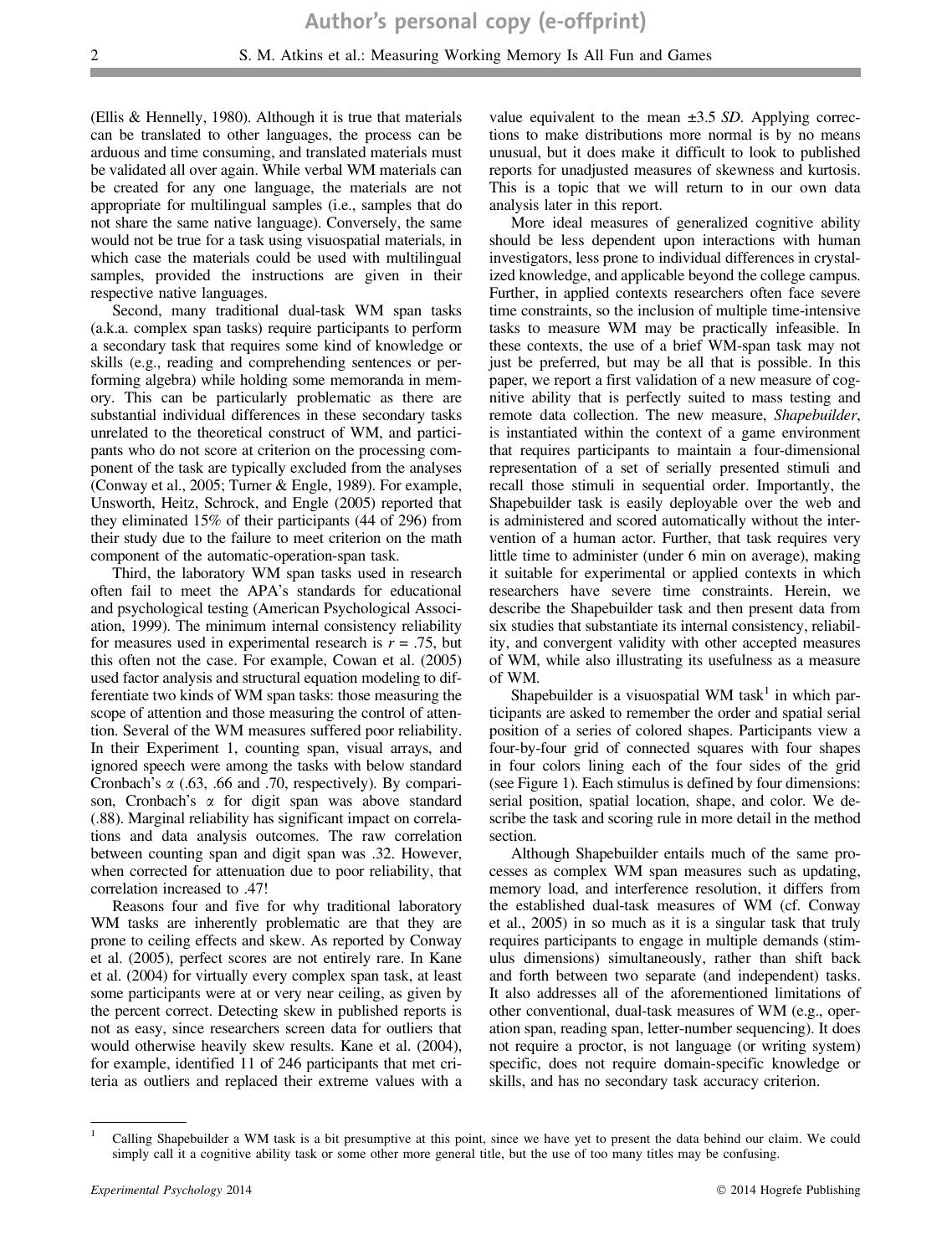(Ellis & Hennelly, 1980). Although it is true that materials can be translated to other languages, the process can be arduous and time consuming, and translated materials must be validated all over again. While verbal WM materials can be created for any one language, the materials are not appropriate for multilingual samples (i.e., samples that do not share the same native language). Conversely, the same would not be true for a task using visuospatial materials, in which case the materials could be used with multilingual samples, provided the instructions are given in their respective native languages.

Second, many traditional dual-task WM span tasks (a.k.a. complex span tasks) require participants to perform a secondary task that requires some kind of knowledge or skills (e.g., reading and comprehending sentences or performing algebra) while holding some memoranda in memory. This can be particularly problematic as there are substantial individual differences in these secondary tasks unrelated to the theoretical construct of WM, and participants who do not score at criterion on the processing component of the task are typically excluded from the analyses (Conway et al., 2005; Turner & Engle, 1989). For example, Unsworth, Heitz, Schrock, and Engle (2005) reported that they eliminated 15% of their participants (44 of 296) from their study due to the failure to meet criterion on the math component of the automatic-operation-span task.

Third, the laboratory WM span tasks used in research often fail to meet the APA's standards for educational and psychological testing (American Psychological Association, 1999). The minimum internal consistency reliability for measures used in experimental research is  $r = .75$ , but this often not the case. For example, Cowan et al. (2005) used factor analysis and structural equation modeling to differentiate two kinds of WM span tasks: those measuring the scope of attention and those measuring the control of attention. Several of the WM measures suffered poor reliability. In their Experiment 1, counting span, visual arrays, and ignored speech were among the tasks with below standard Cronbach's  $\alpha$  (.63, .66 and .70, respectively). By comparison, Cronbach's  $\alpha$  for digit span was above standard (.88). Marginal reliability has significant impact on correlations and data analysis outcomes. The raw correlation between counting span and digit span was .32. However, when corrected for attenuation due to poor reliability, that correlation increased to .47!

Reasons four and five for why traditional laboratory WM tasks are inherently problematic are that they are prone to ceiling effects and skew. As reported by Conway et al. (2005), perfect scores are not entirely rare. In Kane et al. (2004) for virtually every complex span task, at least some participants were at or very near ceiling, as given by the percent correct. Detecting skew in published reports is not as easy, since researchers screen data for outliers that would otherwise heavily skew results. Kane et al. (2004), for example, identified 11 of 246 participants that met criteria as outliers and replaced their extreme values with a

value equivalent to the mean  $\pm 3.5$  SD. Applying corrections to make distributions more normal is by no means unusual, but it does make it difficult to look to published reports for unadjusted measures of skewness and kurtosis. This is a topic that we will return to in our own data analysis later in this report.

More ideal measures of generalized cognitive ability should be less dependent upon interactions with human investigators, less prone to individual differences in crystalized knowledge, and applicable beyond the college campus. Further, in applied contexts researchers often face severe time constraints, so the inclusion of multiple time-intensive tasks to measure WM may be practically infeasible. In these contexts, the use of a brief WM-span task may not just be preferred, but may be all that is possible. In this paper, we report a first validation of a new measure of cognitive ability that is perfectly suited to mass testing and remote data collection. The new measure, Shapebuilder, is instantiated within the context of a game environment that requires participants to maintain a four-dimensional representation of a set of serially presented stimuli and recall those stimuli in sequential order. Importantly, the Shapebuilder task is easily deployable over the web and is administered and scored automatically without the intervention of a human actor. Further, that task requires very little time to administer (under 6 min on average), making it suitable for experimental or applied contexts in which researchers have severe time constraints. Herein, we describe the Shapebuilder task and then present data from six studies that substantiate its internal consistency, reliability, and convergent validity with other accepted measures of WM, while also illustrating its usefulness as a measure of WM.

Shapebuilder is a visuospatial WM task<sup>1</sup> in which participants are asked to remember the order and spatial serial position of a series of colored shapes. Participants view a four-by-four grid of connected squares with four shapes in four colors lining each of the four sides of the grid (see Figure 1). Each stimulus is defined by four dimensions: serial position, spatial location, shape, and color. We describe the task and scoring rule in more detail in the method section.

Although Shapebuilder entails much of the same processes as complex WM span measures such as updating, memory load, and interference resolution, it differs from the established dual-task measures of WM (cf. Conway et al., 2005) in so much as it is a singular task that truly requires participants to engage in multiple demands (stimulus dimensions) simultaneously, rather than shift back and forth between two separate (and independent) tasks. It also addresses all of the aforementioned limitations of other conventional, dual-task measures of WM (e.g., operation span, reading span, letter-number sequencing). It does not require a proctor, is not language (or writing system) specific, does not require domain-specific knowledge or skills, and has no secondary task accuracy criterion.

<sup>1</sup> Calling Shapebuilder a WM task is a bit presumptive at this point, since we have yet to present the data behind our claim. We could simply call it a cognitive ability task or some other more general title, but the use of too many titles may be confusing.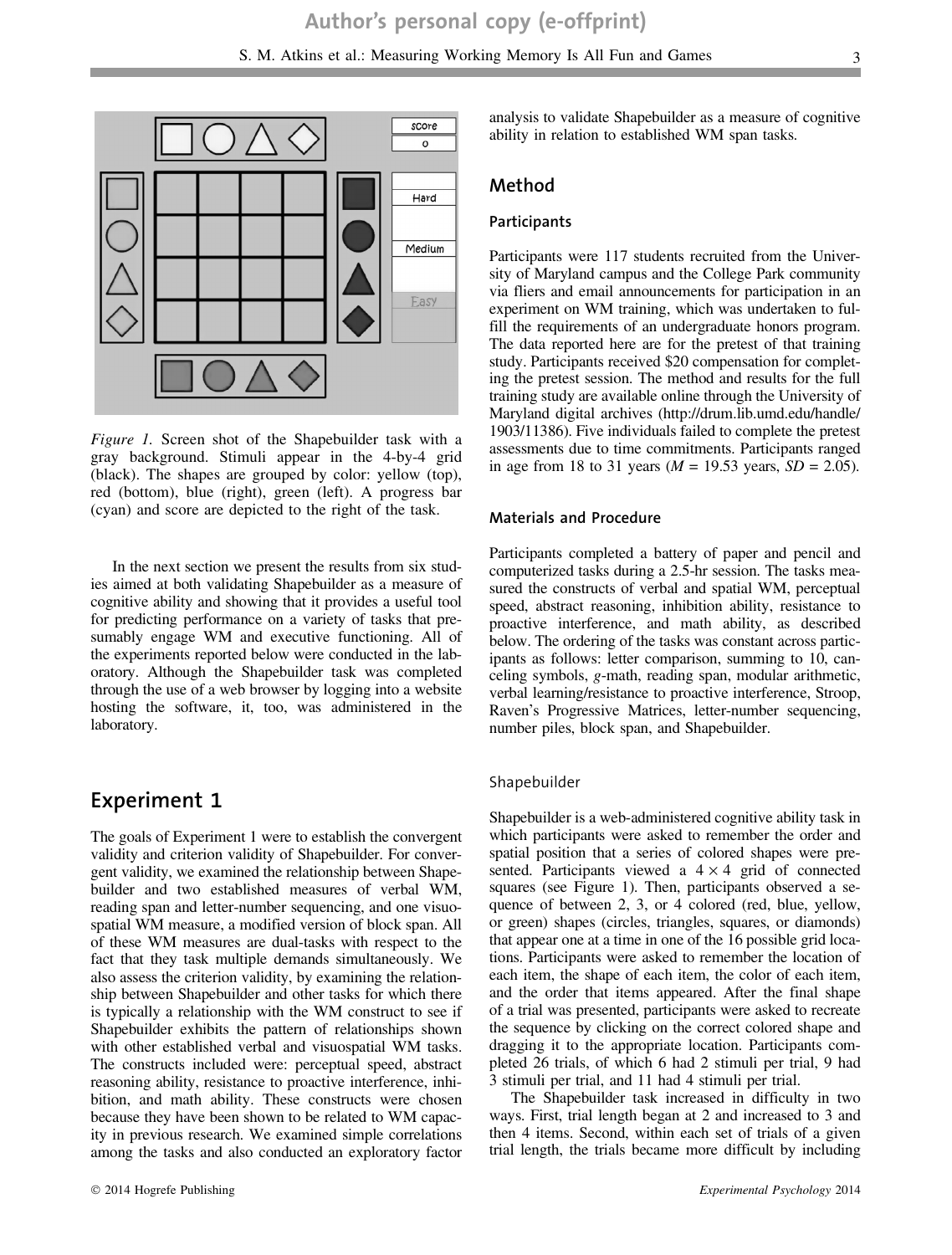

Figure 1. Screen shot of the Shapebuilder task with a gray background. Stimuli appear in the 4-by-4 grid (black). The shapes are grouped by color: yellow (top), red (bottom), blue (right), green (left). A progress bar (cyan) and score are depicted to the right of the task.

In the next section we present the results from six studies aimed at both validating Shapebuilder as a measure of cognitive ability and showing that it provides a useful tool for predicting performance on a variety of tasks that presumably engage WM and executive functioning. All of the experiments reported below were conducted in the laboratory. Although the Shapebuilder task was completed through the use of a web browser by logging into a website hosting the software, it, too, was administered in the laboratory.

#### Experiment 1

The goals of Experiment 1 were to establish the convergent validity and criterion validity of Shapebuilder. For convergent validity, we examined the relationship between Shapebuilder and two established measures of verbal WM, reading span and letter-number sequencing, and one visuospatial WM measure, a modified version of block span. All of these WM measures are dual-tasks with respect to the fact that they task multiple demands simultaneously. We also assess the criterion validity, by examining the relationship between Shapebuilder and other tasks for which there is typically a relationship with the WM construct to see if Shapebuilder exhibits the pattern of relationships shown with other established verbal and visuospatial WM tasks. The constructs included were: perceptual speed, abstract reasoning ability, resistance to proactive interference, inhibition, and math ability. These constructs were chosen because they have been shown to be related to WM capacity in previous research. We examined simple correlations among the tasks and also conducted an exploratory factor

analysis to validate Shapebuilder as a measure of cognitive ability in relation to established WM span tasks.

#### Method

#### **Participants**

Participants were 117 students recruited from the University of Maryland campus and the College Park community via fliers and email announcements for participation in an experiment on WM training, which was undertaken to fulfill the requirements of an undergraduate honors program. The data reported here are for the pretest of that training study. Participants received \$20 compensation for completing the pretest session. The method and results for the full training study are available online through the University of Maryland digital archives (http://drum.lib.umd.edu/handle/ 1903/11386). Five individuals failed to complete the pretest assessments due to time commitments. Participants ranged in age from 18 to 31 years ( $M = 19.53$  years,  $SD = 2.05$ ).

#### Materials and Procedure

Participants completed a battery of paper and pencil and computerized tasks during a 2.5-hr session. The tasks measured the constructs of verbal and spatial WM, perceptual speed, abstract reasoning, inhibition ability, resistance to proactive interference, and math ability, as described below. The ordering of the tasks was constant across participants as follows: letter comparison, summing to 10, canceling symbols, g-math, reading span, modular arithmetic, verbal learning/resistance to proactive interference, Stroop, Raven's Progressive Matrices, letter-number sequencing, number piles, block span, and Shapebuilder.

#### Shapebuilder

Shapebuilder is a web-administered cognitive ability task in which participants were asked to remember the order and spatial position that a series of colored shapes were presented. Participants viewed a  $4 \times 4$  grid of connected squares (see Figure 1). Then, participants observed a sequence of between 2, 3, or 4 colored (red, blue, yellow, or green) shapes (circles, triangles, squares, or diamonds) that appear one at a time in one of the 16 possible grid locations. Participants were asked to remember the location of each item, the shape of each item, the color of each item, and the order that items appeared. After the final shape of a trial was presented, participants were asked to recreate the sequence by clicking on the correct colored shape and dragging it to the appropriate location. Participants completed 26 trials, of which 6 had 2 stimuli per trial, 9 had 3 stimuli per trial, and 11 had 4 stimuli per trial.

The Shapebuilder task increased in difficulty in two ways. First, trial length began at 2 and increased to 3 and then 4 items. Second, within each set of trials of a given trial length, the trials became more difficult by including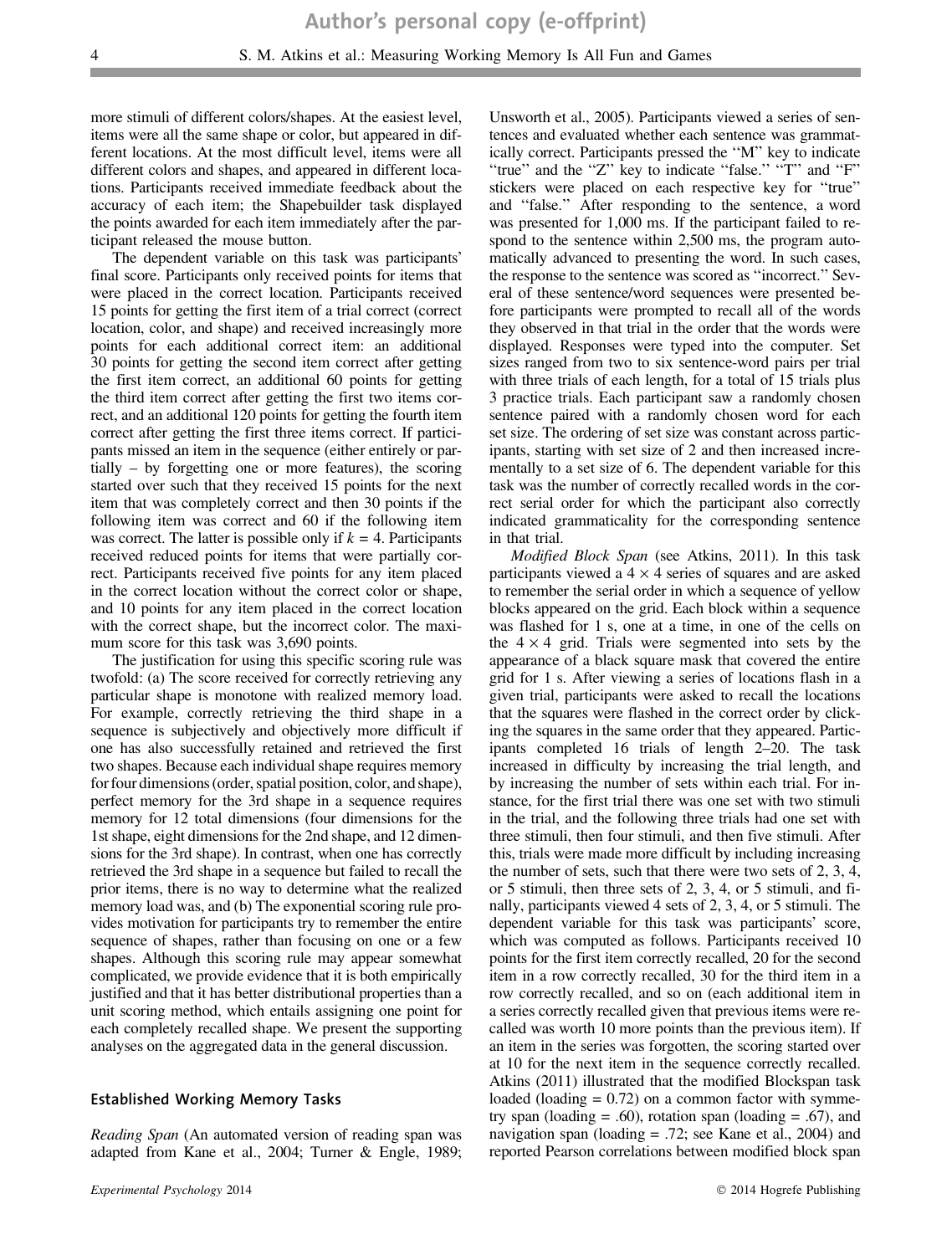more stimuli of different colors/shapes. At the easiest level, items were all the same shape or color, but appeared in different locations. At the most difficult level, items were all different colors and shapes, and appeared in different locations. Participants received immediate feedback about the accuracy of each item; the Shapebuilder task displayed the points awarded for each item immediately after the participant released the mouse button.

The dependent variable on this task was participants' final score. Participants only received points for items that were placed in the correct location. Participants received 15 points for getting the first item of a trial correct (correct location, color, and shape) and received increasingly more points for each additional correct item: an additional 30 points for getting the second item correct after getting the first item correct, an additional 60 points for getting the third item correct after getting the first two items correct, and an additional 120 points for getting the fourth item correct after getting the first three items correct. If participants missed an item in the sequence (either entirely or partially – by forgetting one or more features), the scoring started over such that they received 15 points for the next item that was completely correct and then 30 points if the following item was correct and 60 if the following item was correct. The latter is possible only if  $k = 4$ . Participants received reduced points for items that were partially correct. Participants received five points for any item placed in the correct location without the correct color or shape, and 10 points for any item placed in the correct location with the correct shape, but the incorrect color. The maximum score for this task was 3,690 points.

The justification for using this specific scoring rule was twofold: (a) The score received for correctly retrieving any particular shape is monotone with realized memory load. For example, correctly retrieving the third shape in a sequence is subjectively and objectively more difficult if one has also successfully retained and retrieved the first two shapes. Because each individual shape requires memory for four dimensions (order, spatial position, color, and shape), perfect memory for the 3rd shape in a sequence requires memory for 12 total dimensions (four dimensions for the 1st shape, eight dimensions for the 2nd shape, and 12 dimensions for the 3rd shape). In contrast, when one has correctly retrieved the 3rd shape in a sequence but failed to recall the prior items, there is no way to determine what the realized memory load was, and (b) The exponential scoring rule provides motivation for participants try to remember the entire sequence of shapes, rather than focusing on one or a few shapes. Although this scoring rule may appear somewhat complicated, we provide evidence that it is both empirically justified and that it has better distributional properties than a unit scoring method, which entails assigning one point for each completely recalled shape. We present the supporting analyses on the aggregated data in the general discussion.

#### Established Working Memory Tasks

Reading Span (An automated version of reading span was adapted from Kane et al., 2004; Turner & Engle, 1989; Unsworth et al., 2005). Participants viewed a series of sentences and evaluated whether each sentence was grammatically correct. Participants pressed the ''M'' key to indicate "true" and the "Z" key to indicate "false." "T" and "F" stickers were placed on each respective key for ''true'' and ''false.'' After responding to the sentence, a word was presented for 1,000 ms. If the participant failed to respond to the sentence within 2,500 ms, the program automatically advanced to presenting the word. In such cases, the response to the sentence was scored as ''incorrect.'' Several of these sentence/word sequences were presented before participants were prompted to recall all of the words they observed in that trial in the order that the words were displayed. Responses were typed into the computer. Set sizes ranged from two to six sentence-word pairs per trial with three trials of each length, for a total of 15 trials plus 3 practice trials. Each participant saw a randomly chosen sentence paired with a randomly chosen word for each set size. The ordering of set size was constant across participants, starting with set size of 2 and then increased incrementally to a set size of 6. The dependent variable for this task was the number of correctly recalled words in the correct serial order for which the participant also correctly indicated grammaticality for the corresponding sentence in that trial.

Modified Block Span (see Atkins, 2011). In this task participants viewed a  $4 \times 4$  series of squares and are asked to remember the serial order in which a sequence of yellow blocks appeared on the grid. Each block within a sequence was flashed for 1 s, one at a time, in one of the cells on the  $4 \times 4$  grid. Trials were segmented into sets by the appearance of a black square mask that covered the entire grid for 1 s. After viewing a series of locations flash in a given trial, participants were asked to recall the locations that the squares were flashed in the correct order by clicking the squares in the same order that they appeared. Participants completed 16 trials of length 2–20. The task increased in difficulty by increasing the trial length, and by increasing the number of sets within each trial. For instance, for the first trial there was one set with two stimuli in the trial, and the following three trials had one set with three stimuli, then four stimuli, and then five stimuli. After this, trials were made more difficult by including increasing the number of sets, such that there were two sets of 2, 3, 4, or 5 stimuli, then three sets of 2, 3, 4, or 5 stimuli, and finally, participants viewed 4 sets of 2, 3, 4, or 5 stimuli. The dependent variable for this task was participants' score, which was computed as follows. Participants received 10 points for the first item correctly recalled, 20 for the second item in a row correctly recalled, 30 for the third item in a row correctly recalled, and so on (each additional item in a series correctly recalled given that previous items were recalled was worth 10 more points than the previous item). If an item in the series was forgotten, the scoring started over at 10 for the next item in the sequence correctly recalled. Atkins (2011) illustrated that the modified Blockspan task loaded (loading  $= 0.72$ ) on a common factor with symmetry span (loading  $= .60$ ), rotation span (loading  $= .67$ ), and navigation span (loading = .72; see Kane et al., 2004) and reported Pearson correlations between modified block span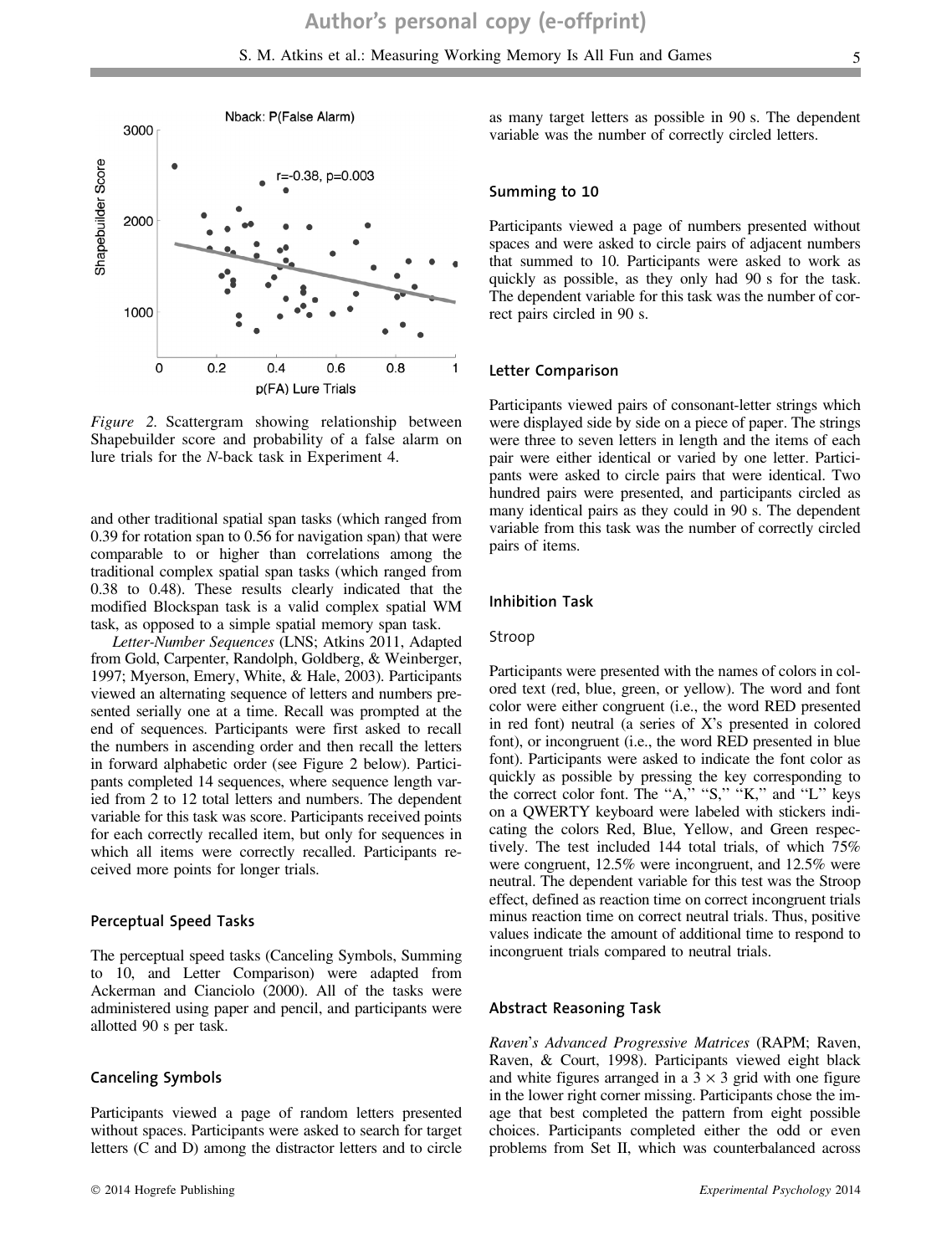

Figure 2. Scattergram showing relationship between Shapebuilder score and probability of a false alarm on lure trials for the N-back task in Experiment 4.

and other traditional spatial span tasks (which ranged from 0.39 for rotation span to 0.56 for navigation span) that were comparable to or higher than correlations among the traditional complex spatial span tasks (which ranged from 0.38 to 0.48). These results clearly indicated that the modified Blockspan task is a valid complex spatial WM task, as opposed to a simple spatial memory span task.

Letter-Number Sequences (LNS; Atkins 2011, Adapted from Gold, Carpenter, Randolph, Goldberg, & Weinberger, 1997; Myerson, Emery, White, & Hale, 2003). Participants viewed an alternating sequence of letters and numbers presented serially one at a time. Recall was prompted at the end of sequences. Participants were first asked to recall the numbers in ascending order and then recall the letters in forward alphabetic order (see Figure 2 below). Participants completed 14 sequences, where sequence length varied from 2 to 12 total letters and numbers. The dependent variable for this task was score. Participants received points for each correctly recalled item, but only for sequences in which all items were correctly recalled. Participants received more points for longer trials.

#### Perceptual Speed Tasks

The perceptual speed tasks (Canceling Symbols, Summing to 10, and Letter Comparison) were adapted from Ackerman and Cianciolo (2000). All of the tasks were administered using paper and pencil, and participants were allotted 90 s per task.

#### Canceling Symbols

Participants viewed a page of random letters presented without spaces. Participants were asked to search for target letters (C and D) among the distractor letters and to circle

as many target letters as possible in 90 s. The dependent variable was the number of correctly circled letters.

#### Summing to 10

Participants viewed a page of numbers presented without spaces and were asked to circle pairs of adjacent numbers that summed to 10. Participants were asked to work as quickly as possible, as they only had 90 s for the task. The dependent variable for this task was the number of correct pairs circled in 90 s.

#### Letter Comparison

Participants viewed pairs of consonant-letter strings which were displayed side by side on a piece of paper. The strings were three to seven letters in length and the items of each pair were either identical or varied by one letter. Participants were asked to circle pairs that were identical. Two hundred pairs were presented, and participants circled as many identical pairs as they could in 90 s. The dependent variable from this task was the number of correctly circled pairs of items.

#### Inhibition Task

#### Stroop

Participants were presented with the names of colors in colored text (red, blue, green, or yellow). The word and font color were either congruent (i.e., the word RED presented in red font) neutral (a series of X's presented in colored font), or incongruent (i.e., the word RED presented in blue font). Participants were asked to indicate the font color as quickly as possible by pressing the key corresponding to the correct color font. The "A," "S," "K," and "L" keys on a QWERTY keyboard were labeled with stickers indicating the colors Red, Blue, Yellow, and Green respectively. The test included 144 total trials, of which 75% were congruent, 12.5% were incongruent, and 12.5% were neutral. The dependent variable for this test was the Stroop effect, defined as reaction time on correct incongruent trials minus reaction time on correct neutral trials. Thus, positive values indicate the amount of additional time to respond to incongruent trials compared to neutral trials.

#### Abstract Reasoning Task

Raven's Advanced Progressive Matrices (RAPM; Raven, Raven, & Court, 1998). Participants viewed eight black and white figures arranged in a  $3 \times 3$  grid with one figure in the lower right corner missing. Participants chose the image that best completed the pattern from eight possible choices. Participants completed either the odd or even problems from Set II, which was counterbalanced across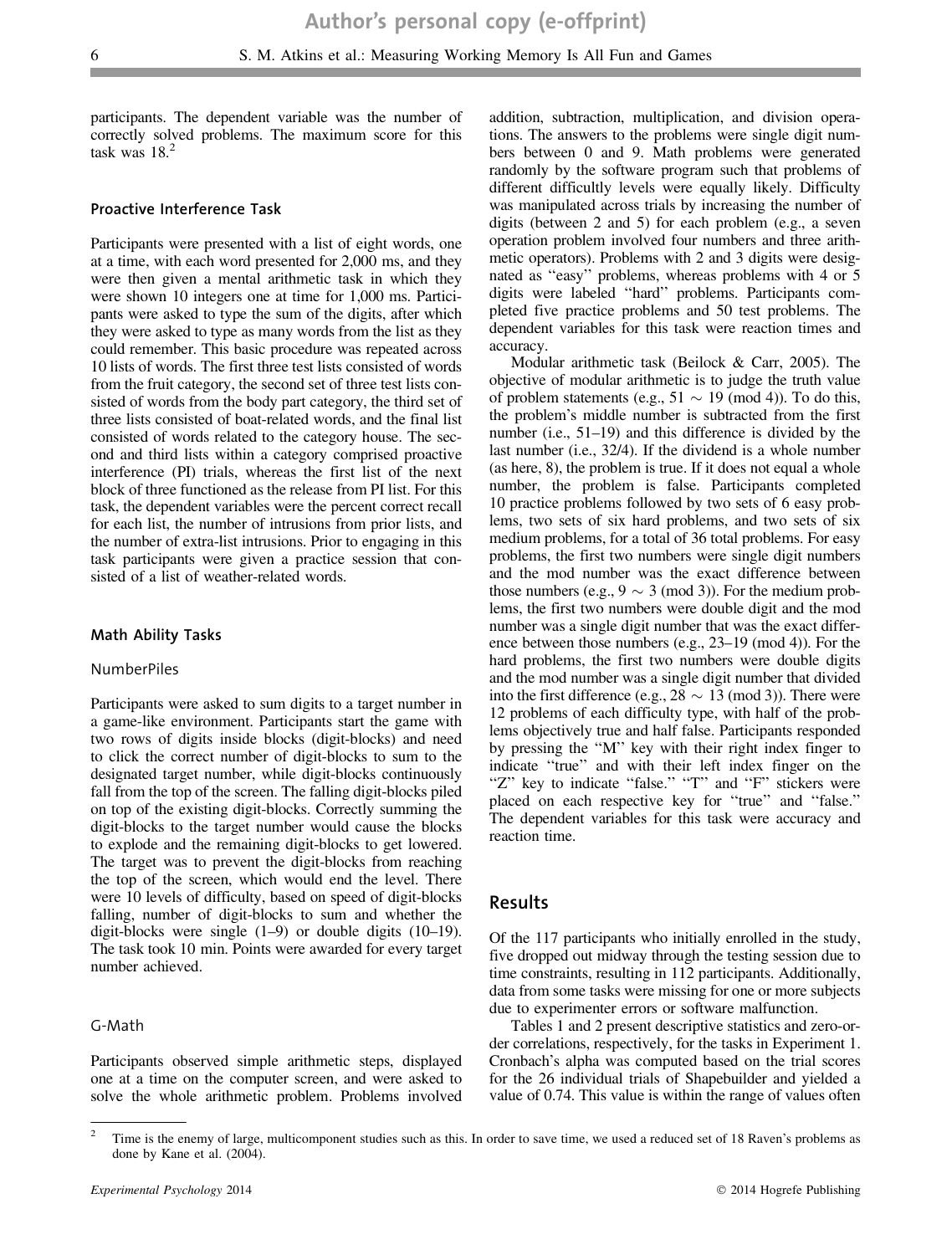participants. The dependent variable was the number of correctly solved problems. The maximum score for this task was  $18<sup>2</sup>$ 

#### Proactive Interference Task

Participants were presented with a list of eight words, one at a time, with each word presented for 2,000 ms, and they were then given a mental arithmetic task in which they were shown 10 integers one at time for 1,000 ms. Participants were asked to type the sum of the digits, after which they were asked to type as many words from the list as they could remember. This basic procedure was repeated across 10 lists of words. The first three test lists consisted of words from the fruit category, the second set of three test lists consisted of words from the body part category, the third set of three lists consisted of boat-related words, and the final list consisted of words related to the category house. The second and third lists within a category comprised proactive interference (PI) trials, whereas the first list of the next block of three functioned as the release from PI list. For this task, the dependent variables were the percent correct recall for each list, the number of intrusions from prior lists, and the number of extra-list intrusions. Prior to engaging in this task participants were given a practice session that consisted of a list of weather-related words.

#### Math Ability Tasks

#### NumberPiles

Participants were asked to sum digits to a target number in a game-like environment. Participants start the game with two rows of digits inside blocks (digit-blocks) and need to click the correct number of digit-blocks to sum to the designated target number, while digit-blocks continuously fall from the top of the screen. The falling digit-blocks piled on top of the existing digit-blocks. Correctly summing the digit-blocks to the target number would cause the blocks to explode and the remaining digit-blocks to get lowered. The target was to prevent the digit-blocks from reaching the top of the screen, which would end the level. There were 10 levels of difficulty, based on speed of digit-blocks falling, number of digit-blocks to sum and whether the digit-blocks were single (1–9) or double digits (10–19). The task took 10 min. Points were awarded for every target number achieved.

#### G-Math

Participants observed simple arithmetic steps, displayed one at a time on the computer screen, and were asked to solve the whole arithmetic problem. Problems involved addition, subtraction, multiplication, and division operations. The answers to the problems were single digit numbers between 0 and 9. Math problems were generated randomly by the software program such that problems of different difficultly levels were equally likely. Difficulty was manipulated across trials by increasing the number of digits (between 2 and 5) for each problem (e.g., a seven operation problem involved four numbers and three arithmetic operators). Problems with 2 and 3 digits were designated as ''easy'' problems, whereas problems with 4 or 5 digits were labeled ''hard'' problems. Participants completed five practice problems and 50 test problems. The dependent variables for this task were reaction times and accuracy.

Modular arithmetic task (Beilock & Carr, 2005). The objective of modular arithmetic is to judge the truth value of problem statements (e.g.,  $51 \sim 19 \pmod{4}$ ). To do this, the problem's middle number is subtracted from the first number (i.e., 51–19) and this difference is divided by the last number (i.e., 32/4). If the dividend is a whole number (as here, 8), the problem is true. If it does not equal a whole number, the problem is false. Participants completed 10 practice problems followed by two sets of 6 easy problems, two sets of six hard problems, and two sets of six medium problems, for a total of 36 total problems. For easy problems, the first two numbers were single digit numbers and the mod number was the exact difference between those numbers (e.g.,  $9 \sim 3 \pmod{3}$ ). For the medium problems, the first two numbers were double digit and the mod number was a single digit number that was the exact difference between those numbers (e.g., 23–19 (mod 4)). For the hard problems, the first two numbers were double digits and the mod number was a single digit number that divided into the first difference (e.g.,  $28 \sim 13 \pmod{3}$ ). There were 12 problems of each difficulty type, with half of the problems objectively true and half false. Participants responded by pressing the ''M'' key with their right index finger to indicate ''true'' and with their left index finger on the "Z" key to indicate "false." "T" and "F" stickers were placed on each respective key for ''true'' and ''false.'' The dependent variables for this task were accuracy and reaction time.

#### Results

Of the 117 participants who initially enrolled in the study, five dropped out midway through the testing session due to time constraints, resulting in 112 participants. Additionally, data from some tasks were missing for one or more subjects due to experimenter errors or software malfunction.

Tables 1 and 2 present descriptive statistics and zero-order correlations, respectively, for the tasks in Experiment 1. Cronbach's alpha was computed based on the trial scores for the 26 individual trials of Shapebuilder and yielded a value of 0.74. This value is within the range of values often

<sup>2</sup> Time is the enemy of large, multicomponent studies such as this. In order to save time, we used a reduced set of 18 Raven's problems as done by Kane et al. (2004).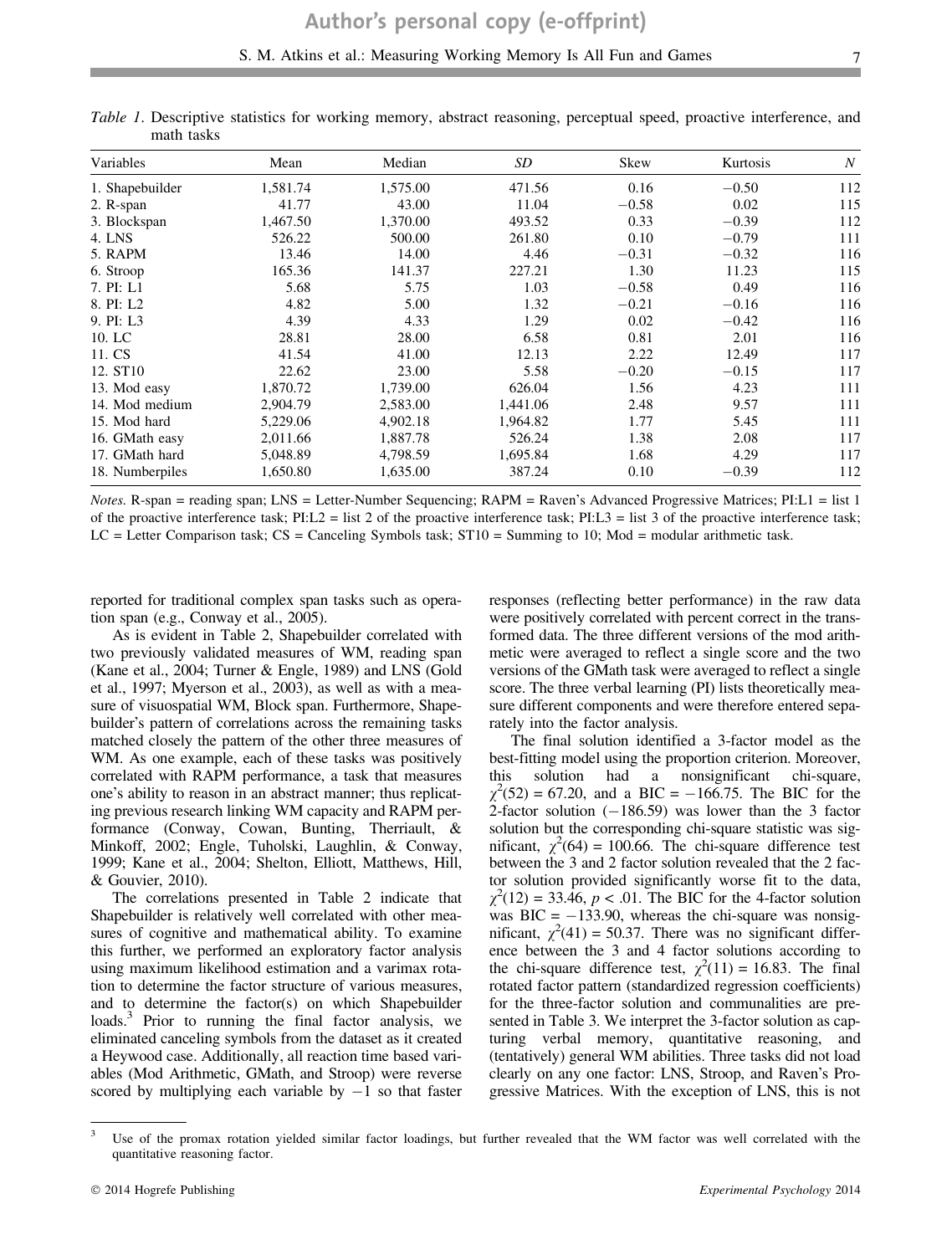| Variables            | Mean     | Median   | SD       | Skew    | Kurtosis | $\boldsymbol{N}$ |
|----------------------|----------|----------|----------|---------|----------|------------------|
| 1. Shapebuilder      | 1,581.74 | 1,575.00 | 471.56   | 0.16    | $-0.50$  | 112              |
| 2. R-span            | 41.77    | 43.00    | 11.04    | $-0.58$ | 0.02     | 115              |
| 3. Blockspan         | 1,467.50 | 1,370.00 | 493.52   | 0.33    | $-0.39$  | 112              |
| 4. LNS               | 526.22   | 500.00   | 261.80   | 0.10    | $-0.79$  | 111              |
| 5. RAPM              | 13.46    | 14.00    | 4.46     | $-0.31$ | $-0.32$  | 116              |
| 6. Stroop            | 165.36   | 141.37   | 227.21   | 1.30    | 11.23    | 115              |
| 7. PI: L1            | 5.68     | 5.75     | 1.03     | $-0.58$ | 0.49     | 116              |
| 8. PI: L2            | 4.82     | 5.00     | 1.32     | $-0.21$ | $-0.16$  | 116              |
| 9. PI: L3            | 4.39     | 4.33     | 1.29     | 0.02    | $-0.42$  | 116              |
| 10. LC               | 28.81    | 28.00    | 6.58     | 0.81    | 2.01     | 116              |
| 11. CS               | 41.54    | 41.00    | 12.13    | 2.22    | 12.49    | 117              |
| 12. ST <sub>10</sub> | 22.62    | 23.00    | 5.58     | $-0.20$ | $-0.15$  | 117              |
| 13. Mod easy         | 1,870.72 | 1.739.00 | 626.04   | 1.56    | 4.23     | 111              |
| 14. Mod medium       | 2,904.79 | 2,583.00 | 1,441.06 | 2.48    | 9.57     | 111              |
| 15. Mod hard         | 5,229.06 | 4,902.18 | 1,964.82 | 1.77    | 5.45     | 111              |
| 16. GMath easy       | 2,011.66 | 1,887.78 | 526.24   | 1.38    | 2.08     | 117              |
| 17. GMath hard       | 5,048.89 | 4,798.59 | 1,695.84 | 1.68    | 4.29     | 117              |
| 18. Numberpiles      | 1,650.80 | 1,635.00 | 387.24   | 0.10    | $-0.39$  | 112              |

Table 1. Descriptive statistics for working memory, abstract reasoning, perceptual speed, proactive interference, and math tasks

Notes. R-span = reading span; LNS = Letter-Number Sequencing; RAPM = Raven's Advanced Progressive Matrices; PI:L1 = list 1 of the proactive interference task; PI:L2 = list 2 of the proactive interference task; PI:L3 = list 3 of the proactive interference task; LC = Letter Comparison task;  $CS$  = Canceling Symbols task;  $ST10$  = Summing to 10; Mod = modular arithmetic task.

reported for traditional complex span tasks such as operation span (e.g., Conway et al., 2005).

As is evident in Table 2, Shapebuilder correlated with two previously validated measures of WM, reading span (Kane et al., 2004; Turner & Engle, 1989) and LNS (Gold et al., 1997; Myerson et al., 2003), as well as with a measure of visuospatial WM, Block span. Furthermore, Shapebuilder's pattern of correlations across the remaining tasks matched closely the pattern of the other three measures of WM. As one example, each of these tasks was positively correlated with RAPM performance, a task that measures one's ability to reason in an abstract manner; thus replicating previous research linking WM capacity and RAPM performance (Conway, Cowan, Bunting, Therriault, & Minkoff, 2002; Engle, Tuholski, Laughlin, & Conway, 1999; Kane et al., 2004; Shelton, Elliott, Matthews, Hill, & Gouvier, 2010).

The correlations presented in Table 2 indicate that Shapebuilder is relatively well correlated with other measures of cognitive and mathematical ability. To examine this further, we performed an exploratory factor analysis using maximum likelihood estimation and a varimax rotation to determine the factor structure of various measures, and to determine the factor(s) on which Shapebuilder loads.<sup>3</sup> Prior to running the final factor analysis, we eliminated canceling symbols from the dataset as it created a Heywood case. Additionally, all reaction time based variables (Mod Arithmetic, GMath, and Stroop) were reverse scored by multiplying each variable by  $-1$  so that faster responses (reflecting better performance) in the raw data were positively correlated with percent correct in the transformed data. The three different versions of the mod arithmetic were averaged to reflect a single score and the two versions of the GMath task were averaged to reflect a single score. The three verbal learning (PI) lists theoretically measure different components and were therefore entered separately into the factor analysis.

The final solution identified a 3-factor model as the best-fitting model using the proportion criterion. Moreover, this solution had a nonsignificant chi-square,  $\chi^2$ (52) = 67.20, and a BIC = -166.75. The BIC for the 2-factor solution  $(-186.59)$  was lower than the 3 factor solution but the corresponding chi-square statistic was significant,  $\chi^2(64) = 100.66$ . The chi-square difference test between the 3 and 2 factor solution revealed that the 2 factor solution provided significantly worse fit to the data,  $\chi^2(12) = 33.46$ ,  $p < .01$ . The BIC for the 4-factor solution was  $BIC = -133.90$ , whereas the chi-square was nonsignificant,  $\chi^2(41) = 50.37$ . There was no significant difference between the 3 and 4 factor solutions according to the chi-square difference test,  $\chi^2(11) = 16.83$ . The final rotated factor pattern (standardized regression coefficients) for the three-factor solution and communalities are presented in Table 3. We interpret the 3-factor solution as capturing verbal memory, quantitative reasoning, and (tentatively) general WM abilities. Three tasks did not load clearly on any one factor: LNS, Stroop, and Raven's Progressive Matrices. With the exception of LNS, this is not

<sup>&</sup>lt;sup>3</sup> Use of the promax rotation yielded similar factor loadings, but further revealed that the WM factor was well correlated with the quantitative reasoning factor.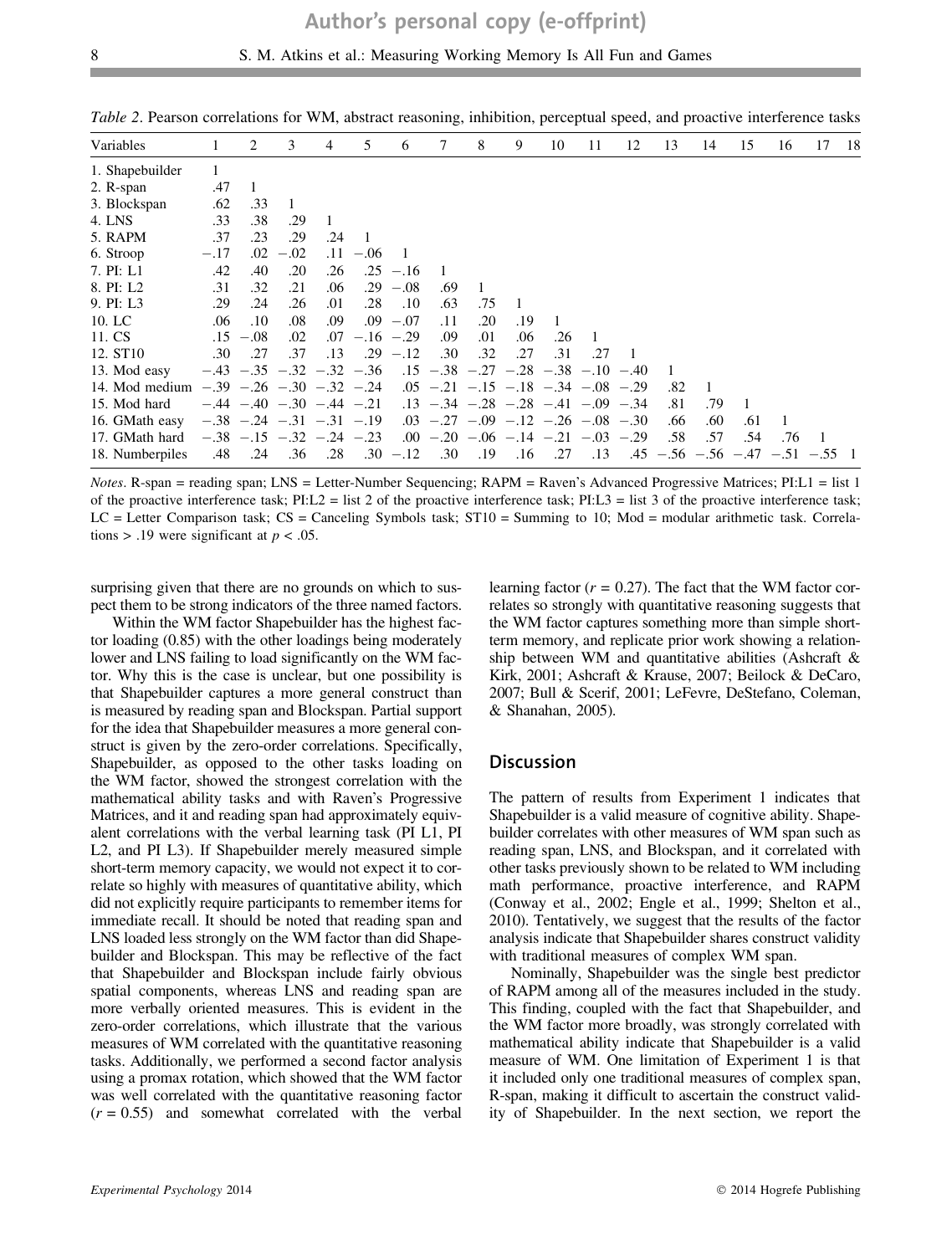| Variables            |        | 2                                  | 3      | 4   | 5                 | 6           | 7   | 8   | 9   | 10  |                                                 | 12  | 13  | 14                                   | 15  | 16  | 17 | -18 |
|----------------------|--------|------------------------------------|--------|-----|-------------------|-------------|-----|-----|-----|-----|-------------------------------------------------|-----|-----|--------------------------------------|-----|-----|----|-----|
| 1. Shapebuilder      |        |                                    |        |     |                   |             |     |     |     |     |                                                 |     |     |                                      |     |     |    |     |
| 2. R-span            | .47    | 1                                  |        |     |                   |             |     |     |     |     |                                                 |     |     |                                      |     |     |    |     |
| 3. Blockspan         | .62    | .33                                | 1      |     |                   |             |     |     |     |     |                                                 |     |     |                                      |     |     |    |     |
| 4. LNS               | .33    | .38                                | .29    |     |                   |             |     |     |     |     |                                                 |     |     |                                      |     |     |    |     |
| 5. RAPM              | .37    | .23                                | .29    | .24 |                   |             |     |     |     |     |                                                 |     |     |                                      |     |     |    |     |
| 6. Stroop            | $-.17$ | .02                                | $-.02$ |     | $.11 - .06$       | -1          |     |     |     |     |                                                 |     |     |                                      |     |     |    |     |
| 7. PI: L1            | .42    | .40                                | .20    | .26 |                   | $.25 - .16$ | 1   |     |     |     |                                                 |     |     |                                      |     |     |    |     |
| 8. PI: L2            | .31    | .32                                | .21    | .06 | .29               | $-.08$      | .69 | 1   |     |     |                                                 |     |     |                                      |     |     |    |     |
| 9. PI: L3            | .29    | .24                                | .26    | .01 | .28               | .10         | .63 | .75 |     |     |                                                 |     |     |                                      |     |     |    |     |
| 10. LC               | .06    | .10                                | .08    | .09 | .09               | $-.07$      | .11 | .20 | .19 |     |                                                 |     |     |                                      |     |     |    |     |
| 11. CS               | .15    | $-.08$                             | .02    |     | $.07 - .16 - .29$ |             | .09 | .01 | .06 | .26 | 1                                               |     |     |                                      |     |     |    |     |
| 12. ST <sub>10</sub> | .30    | .27                                | .37    | .13 | .29               | $-.12$      | .30 | .32 | .27 | .31 | .27                                             | -1  |     |                                      |     |     |    |     |
| 13. Mod easy         |        | $-.43$ $-.35$ $-.32$ $-.32$ $-.36$ |        |     |                   |             |     |     |     |     | $.15 - .38 - .27 - .28 - .38 - .10 - .40$       |     | 1   |                                      |     |     |    |     |
| 14. Mod medium       |        | $-.39$ $-.26$ $-.30$ $-.32$ $-.24$ |        |     |                   |             |     |     |     |     | $.05$ $-.21$ $-.15$ $-.18$ $-.34$ $-.08$ $-.29$ |     | .82 |                                      |     |     |    |     |
| 15. Mod hard         |        | $-.44$ $-.40$ $-.30$ $-.44$ $-.21$ |        |     |                   |             |     |     |     |     | $.13 - .34 - .28 - .28 - .41 - .09 - .34$       |     | .81 | .79                                  |     |     |    |     |
| 16. GMath easy       |        | $-.38$ $-.24$ $-.31$ $-.31$ $-.19$ |        |     |                   |             |     |     |     |     | $.03$ $-.27$ $-.09$ $-.12$ $-.26$ $-.08$ $-.30$ |     | .66 | .60                                  | .61 |     |    |     |
| 17. GMath hard       |        | $-.38$ $-.15$ $-.32$ $-.24$ $-.23$ |        |     |                   | .00.        |     |     |     |     | $-.20$ $-.06$ $-.14$ $-.21$ $-.03$ $-.29$       |     | .58 | .57                                  | .54 | .76 |    |     |
| 18. Numberpiles      | .48    | .24                                | .36    | .28 | .30               | $-.12$      | .30 | .19 | .16 | .27 | .13                                             | .45 |     | $-.56$ $-.56$ $-.47$ $-.51$ $-.55$ 1 |     |     |    |     |

Table 2. Pearson correlations for WM, abstract reasoning, inhibition, perceptual speed, and proactive interference tasks

Notes. R-span = reading span; LNS = Letter-Number Sequencing; RAPM = Raven's Advanced Progressive Matrices; PI:L1 = list 1 of the proactive interference task; PI:L2 = list 2 of the proactive interference task; PI:L3 = list 3 of the proactive interference task; LC = Letter Comparison task;  $CS$  = Canceling Symbols task;  $ST10$  = Summing to 10; Mod = modular arithmetic task. Correlations > .19 were significant at  $p < .05$ .

surprising given that there are no grounds on which to suspect them to be strong indicators of the three named factors.

Within the WM factor Shapebuilder has the highest factor loading (0.85) with the other loadings being moderately lower and LNS failing to load significantly on the WM factor. Why this is the case is unclear, but one possibility is that Shapebuilder captures a more general construct than is measured by reading span and Blockspan. Partial support for the idea that Shapebuilder measures a more general construct is given by the zero-order correlations. Specifically, Shapebuilder, as opposed to the other tasks loading on the WM factor, showed the strongest correlation with the mathematical ability tasks and with Raven's Progressive Matrices, and it and reading span had approximately equivalent correlations with the verbal learning task (PI L1, PI L2, and PI L3). If Shapebuilder merely measured simple short-term memory capacity, we would not expect it to correlate so highly with measures of quantitative ability, which did not explicitly require participants to remember items for immediate recall. It should be noted that reading span and LNS loaded less strongly on the WM factor than did Shapebuilder and Blockspan. This may be reflective of the fact that Shapebuilder and Blockspan include fairly obvious spatial components, whereas LNS and reading span are more verbally oriented measures. This is evident in the zero-order correlations, which illustrate that the various measures of WM correlated with the quantitative reasoning tasks. Additionally, we performed a second factor analysis using a promax rotation, which showed that the WM factor was well correlated with the quantitative reasoning factor  $(r = 0.55)$  and somewhat correlated with the verbal

learning factor  $(r = 0.27)$ . The fact that the WM factor correlates so strongly with quantitative reasoning suggests that the WM factor captures something more than simple shortterm memory, and replicate prior work showing a relationship between WM and quantitative abilities (Ashcraft & Kirk, 2001; Ashcraft & Krause, 2007; Beilock & DeCaro, 2007; Bull & Scerif, 2001; LeFevre, DeStefano, Coleman, & Shanahan, 2005).

#### **Discussion**

The pattern of results from Experiment 1 indicates that Shapebuilder is a valid measure of cognitive ability. Shapebuilder correlates with other measures of WM span such as reading span, LNS, and Blockspan, and it correlated with other tasks previously shown to be related to WM including math performance, proactive interference, and RAPM (Conway et al., 2002; Engle et al., 1999; Shelton et al., 2010). Tentatively, we suggest that the results of the factor analysis indicate that Shapebuilder shares construct validity with traditional measures of complex WM span.

Nominally, Shapebuilder was the single best predictor of RAPM among all of the measures included in the study. This finding, coupled with the fact that Shapebuilder, and the WM factor more broadly, was strongly correlated with mathematical ability indicate that Shapebuilder is a valid measure of WM. One limitation of Experiment 1 is that it included only one traditional measures of complex span, R-span, making it difficult to ascertain the construct validity of Shapebuilder. In the next section, we report the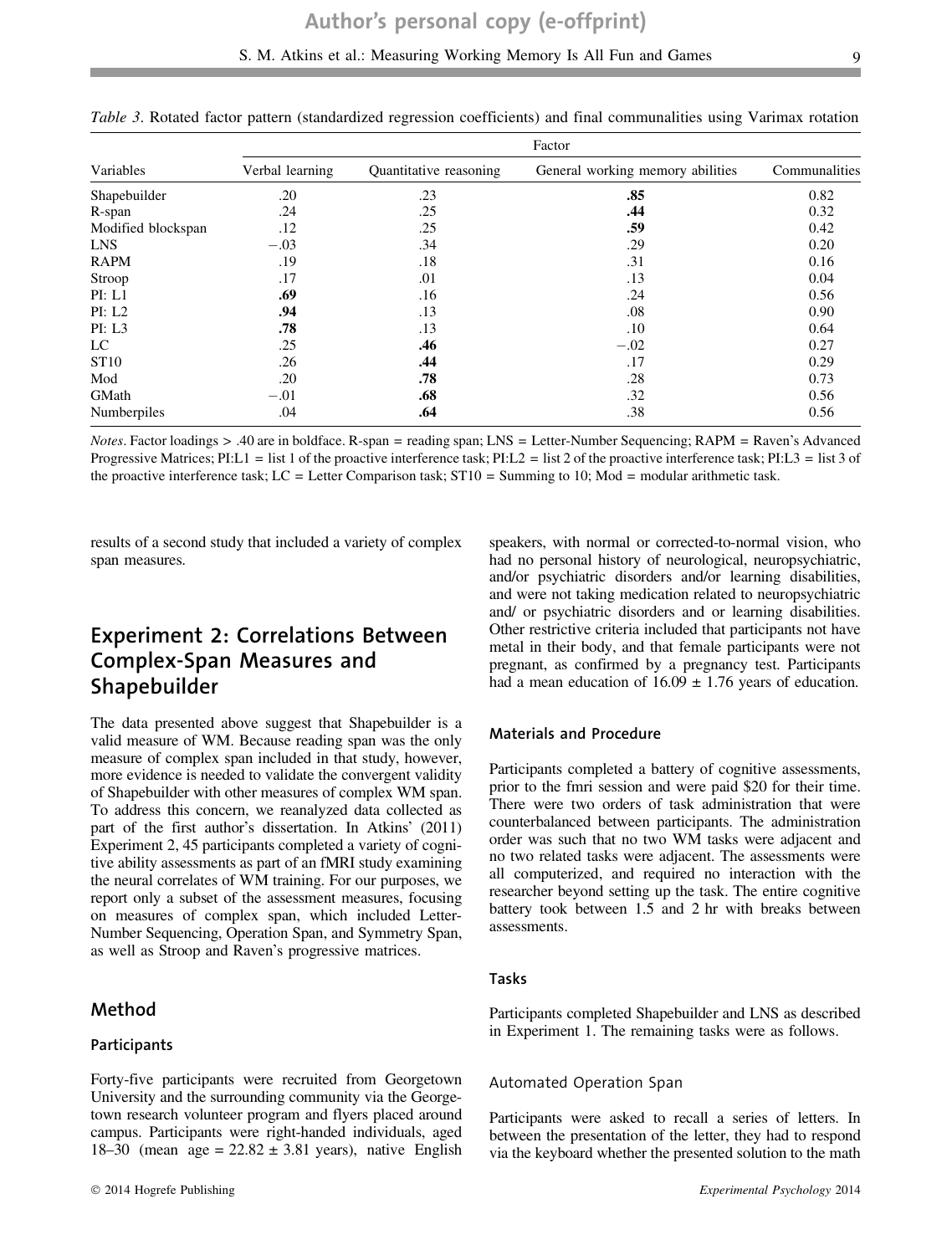|                    | Factor          |                        |                                  |               |  |  |  |
|--------------------|-----------------|------------------------|----------------------------------|---------------|--|--|--|
| Variables          | Verbal learning | Quantitative reasoning | General working memory abilities | Communalities |  |  |  |
| Shapebuilder       | .20             | .23                    | .85                              | 0.82          |  |  |  |
| R-span             | .24             | .25                    | .44                              | 0.32          |  |  |  |
| Modified blockspan | .12             | .25                    | .59                              | 0.42          |  |  |  |
| <b>LNS</b>         | $-.03$          | .34                    | .29                              | 0.20          |  |  |  |
| <b>RAPM</b>        | .19             | .18                    | .31                              | 0.16          |  |  |  |
| Stroop             | .17             | .01                    | .13                              | 0.04          |  |  |  |
| PI: L1             | .69             | .16                    | .24                              | 0.56          |  |  |  |
| PI: L2             | .94             | .13                    | .08                              | 0.90          |  |  |  |
| PI: L3             | .78             | .13                    | .10                              | 0.64          |  |  |  |
| LC                 | .25             | .46                    | $-.02$                           | 0.27          |  |  |  |
| <b>ST10</b>        | .26             | .44                    | .17                              | 0.29          |  |  |  |
| Mod                | .20             | .78                    | .28                              | 0.73          |  |  |  |
| GMath              | $-.01$          | .68                    | .32                              | 0.56          |  |  |  |
| Numberpiles        | .04             | .64                    | .38                              | 0.56          |  |  |  |

Table 3. Rotated factor pattern (standardized regression coefficients) and final communalities using Varimax rotation

Notes. Factor loadings > .40 are in boldface. R-span = reading span; LNS = Letter-Number Sequencing; RAPM = Raven's Advanced Progressive Matrices; PI:L1 = list 1 of the proactive interference task; PI:L2 = list 2 of the proactive interference task; PI:L3 = list 3 of the proactive interference task; LC = Letter Comparison task;  $ST10 = Summing to 10$ ; Mod = modular arithmetic task.

results of a second study that included a variety of complex span measures.

#### Experiment 2: Correlations Between Complex-Span Measures and Shapebuilder

The data presented above suggest that Shapebuilder is a valid measure of WM. Because reading span was the only measure of complex span included in that study, however, more evidence is needed to validate the convergent validity of Shapebuilder with other measures of complex WM span. To address this concern, we reanalyzed data collected as part of the first author's dissertation. In Atkins' (2011) Experiment 2, 45 participants completed a variety of cognitive ability assessments as part of an fMRI study examining the neural correlates of WM training. For our purposes, we report only a subset of the assessment measures, focusing on measures of complex span, which included Letter-Number Sequencing, Operation Span, and Symmetry Span, as well as Stroop and Raven's progressive matrices.

#### Method

#### **Participants**

Forty-five participants were recruited from Georgetown University and the surrounding community via the Georgetown research volunteer program and flyers placed around campus. Participants were right-handed individuals, aged 18–30 (mean age =  $22.82 \pm 3.81$  years), native English

speakers, with normal or corrected-to-normal vision, who had no personal history of neurological, neuropsychiatric, and/or psychiatric disorders and/or learning disabilities, and were not taking medication related to neuropsychiatric and/ or psychiatric disorders and or learning disabilities. Other restrictive criteria included that participants not have metal in their body, and that female participants were not pregnant, as confirmed by a pregnancy test. Participants had a mean education of  $16.09 \pm 1.76$  years of education.

#### Materials and Procedure

Participants completed a battery of cognitive assessments, prior to the fmri session and were paid \$20 for their time. There were two orders of task administration that were counterbalanced between participants. The administration order was such that no two WM tasks were adjacent and no two related tasks were adjacent. The assessments were all computerized, and required no interaction with the researcher beyond setting up the task. The entire cognitive battery took between 1.5 and 2 hr with breaks between assessments.

#### Tasks

Participants completed Shapebuilder and LNS as described in Experiment 1. The remaining tasks were as follows.

#### Automated Operation Span

Participants were asked to recall a series of letters. In between the presentation of the letter, they had to respond via the keyboard whether the presented solution to the math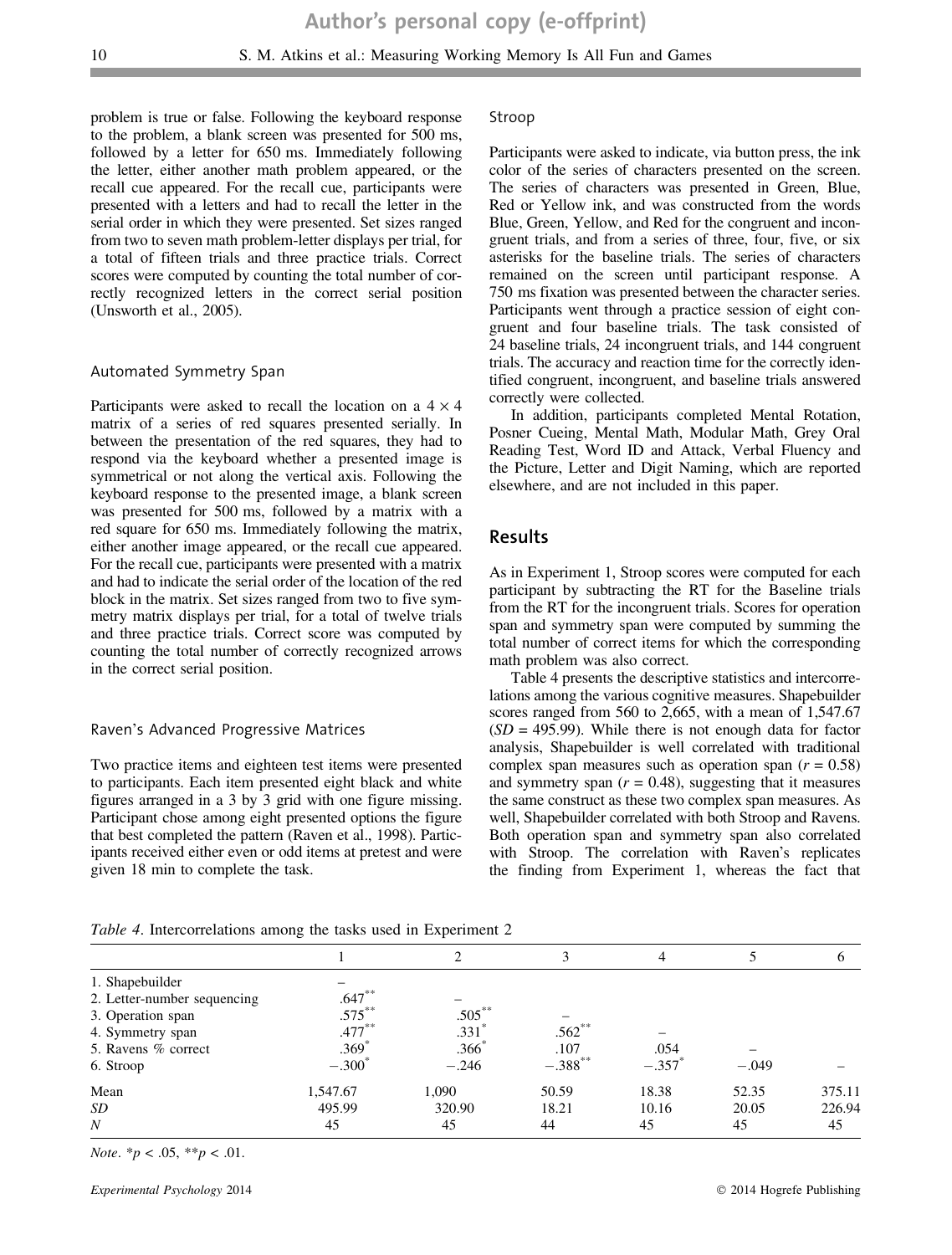problem is true or false. Following the keyboard response to the problem, a blank screen was presented for 500 ms, followed by a letter for 650 ms. Immediately following the letter, either another math problem appeared, or the recall cue appeared. For the recall cue, participants were presented with a letters and had to recall the letter in the serial order in which they were presented. Set sizes ranged from two to seven math problem-letter displays per trial, for a total of fifteen trials and three practice trials. Correct scores were computed by counting the total number of correctly recognized letters in the correct serial position (Unsworth et al., 2005).

#### Automated Symmetry Span

Participants were asked to recall the location on a  $4 \times 4$ matrix of a series of red squares presented serially. In between the presentation of the red squares, they had to respond via the keyboard whether a presented image is symmetrical or not along the vertical axis. Following the keyboard response to the presented image, a blank screen was presented for 500 ms, followed by a matrix with a red square for 650 ms. Immediately following the matrix, either another image appeared, or the recall cue appeared. For the recall cue, participants were presented with a matrix and had to indicate the serial order of the location of the red block in the matrix. Set sizes ranged from two to five symmetry matrix displays per trial, for a total of twelve trials and three practice trials. Correct score was computed by counting the total number of correctly recognized arrows in the correct serial position.

#### Raven's Advanced Progressive Matrices

Two practice items and eighteen test items were presented to participants. Each item presented eight black and white figures arranged in a 3 by 3 grid with one figure missing. Participant chose among eight presented options the figure that best completed the pattern (Raven et al., 1998). Participants received either even or odd items at pretest and were given 18 min to complete the task.

#### Stroop

Participants were asked to indicate, via button press, the ink color of the series of characters presented on the screen. The series of characters was presented in Green, Blue, Red or Yellow ink, and was constructed from the words Blue, Green, Yellow, and Red for the congruent and incongruent trials, and from a series of three, four, five, or six asterisks for the baseline trials. The series of characters remained on the screen until participant response. A 750 ms fixation was presented between the character series. Participants went through a practice session of eight congruent and four baseline trials. The task consisted of 24 baseline trials, 24 incongruent trials, and 144 congruent trials. The accuracy and reaction time for the correctly identified congruent, incongruent, and baseline trials answered correctly were collected.

In addition, participants completed Mental Rotation, Posner Cueing, Mental Math, Modular Math, Grey Oral Reading Test, Word ID and Attack, Verbal Fluency and the Picture, Letter and Digit Naming, which are reported elsewhere, and are not included in this paper.

#### Results

As in Experiment 1, Stroop scores were computed for each participant by subtracting the RT for the Baseline trials from the RT for the incongruent trials. Scores for operation span and symmetry span were computed by summing the total number of correct items for which the corresponding math problem was also correct.

Table 4 presents the descriptive statistics and intercorrelations among the various cognitive measures. Shapebuilder scores ranged from 560 to 2,665, with a mean of 1,547.67  $(SD = 495.99)$ . While there is not enough data for factor analysis, Shapebuilder is well correlated with traditional complex span measures such as operation span  $(r = 0.58)$ and symmetry span  $(r = 0.48)$ , suggesting that it measures the same construct as these two complex span measures. As well, Shapebuilder correlated with both Stroop and Ravens. Both operation span and symmetry span also correlated with Stroop. The correlation with Raven's replicates the finding from Experiment 1, whereas the fact that

|                             |           |           |            | 4                    |         | 6      |
|-----------------------------|-----------|-----------|------------|----------------------|---------|--------|
| 1. Shapebuilder             |           |           |            |                      |         |        |
| 2. Letter-number sequencing | $.647***$ |           |            |                      |         |        |
| 3. Operation span           | $.575***$ | $.505***$ |            |                      |         |        |
| 4. Symmetry span            | $.477***$ | $.331*$   | $.562***$  |                      |         |        |
| 5. Ravens % correct         | $.369*$   | $.366*$   | .107       | .054                 |         |        |
| 6. Stroop                   | $-.300*$  | $-.246$   | $-.388$ ** | $-.357$ <sup>*</sup> | $-.049$ |        |
| Mean                        | 1,547.67  | 1,090     | 50.59      | 18.38                | 52.35   | 375.11 |
| SD                          | 495.99    | 320.90    | 18.21      | 10.16                | 20.05   | 226.94 |
| $\boldsymbol{N}$            | 45        | 45        | 44         | 45                   | 45      | 45     |

Table 4. Intercorrelations among the tasks used in Experiment 2

Note.  $* p < 0.05$ ,  $* p < 0.01$ .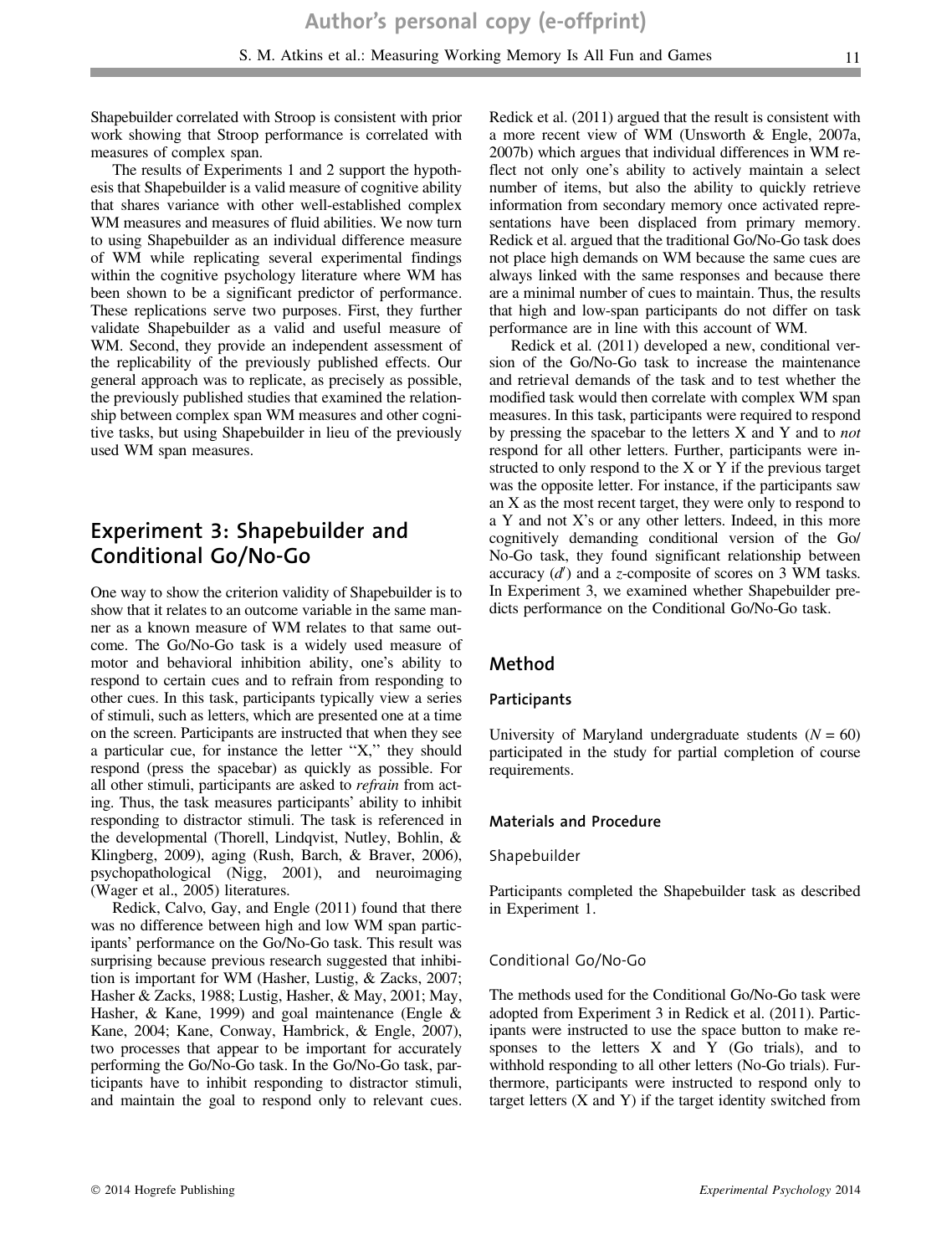Shapebuilder correlated with Stroop is consistent with prior work showing that Stroop performance is correlated with measures of complex span.

The results of Experiments 1 and 2 support the hypothesis that Shapebuilder is a valid measure of cognitive ability that shares variance with other well-established complex WM measures and measures of fluid abilities. We now turn to using Shapebuilder as an individual difference measure of WM while replicating several experimental findings within the cognitive psychology literature where WM has been shown to be a significant predictor of performance. These replications serve two purposes. First, they further validate Shapebuilder as a valid and useful measure of WM. Second, they provide an independent assessment of the replicability of the previously published effects. Our general approach was to replicate, as precisely as possible, the previously published studies that examined the relationship between complex span WM measures and other cognitive tasks, but using Shapebuilder in lieu of the previously used WM span measures.

#### Experiment 3: Shapebuilder and Conditional Go/No-Go

One way to show the criterion validity of Shapebuilder is to show that it relates to an outcome variable in the same manner as a known measure of WM relates to that same outcome. The Go/No-Go task is a widely used measure of motor and behavioral inhibition ability, one's ability to respond to certain cues and to refrain from responding to other cues. In this task, participants typically view a series of stimuli, such as letters, which are presented one at a time on the screen. Participants are instructed that when they see a particular cue, for instance the letter ''X,'' they should respond (press the spacebar) as quickly as possible. For all other stimuli, participants are asked to refrain from acting. Thus, the task measures participants' ability to inhibit responding to distractor stimuli. The task is referenced in the developmental (Thorell, Lindqvist, Nutley, Bohlin, & Klingberg, 2009), aging (Rush, Barch, & Braver, 2006), psychopathological (Nigg, 2001), and neuroimaging (Wager et al., 2005) literatures.

Redick, Calvo, Gay, and Engle (2011) found that there was no difference between high and low WM span participants' performance on the Go/No-Go task. This result was surprising because previous research suggested that inhibition is important for WM (Hasher, Lustig, & Zacks, 2007; Hasher & Zacks, 1988; Lustig, Hasher, & May, 2001; May, Hasher, & Kane, 1999) and goal maintenance (Engle & Kane, 2004; Kane, Conway, Hambrick, & Engle, 2007), two processes that appear to be important for accurately performing the Go/No-Go task. In the Go/No-Go task, participants have to inhibit responding to distractor stimuli, and maintain the goal to respond only to relevant cues.

Redick et al. (2011) argued that the result is consistent with a more recent view of WM (Unsworth & Engle, 2007a, 2007b) which argues that individual differences in WM reflect not only one's ability to actively maintain a select number of items, but also the ability to quickly retrieve information from secondary memory once activated representations have been displaced from primary memory. Redick et al. argued that the traditional Go/No-Go task does not place high demands on WM because the same cues are always linked with the same responses and because there are a minimal number of cues to maintain. Thus, the results that high and low-span participants do not differ on task performance are in line with this account of WM.

Redick et al. (2011) developed a new, conditional version of the Go/No-Go task to increase the maintenance and retrieval demands of the task and to test whether the modified task would then correlate with complex WM span measures. In this task, participants were required to respond by pressing the spacebar to the letters X and Y and to not respond for all other letters. Further, participants were instructed to only respond to the X or Y if the previous target was the opposite letter. For instance, if the participants saw an X as the most recent target, they were only to respond to a Y and not X's or any other letters. Indeed, in this more cognitively demanding conditional version of the Go/ No-Go task, they found significant relationship between accuracy  $(d')$  and a z-composite of scores on 3 WM tasks. In Experiment 3, we examined whether Shapebuilder predicts performance on the Conditional Go/No-Go task.

#### Method

#### **Participants**

University of Maryland undergraduate students  $(N = 60)$ participated in the study for partial completion of course requirements.

#### Materials and Procedure

#### Shapebuilder

Participants completed the Shapebuilder task as described in Experiment 1.

#### Conditional Go/No-Go

The methods used for the Conditional Go/No-Go task were adopted from Experiment 3 in Redick et al. (2011). Participants were instructed to use the space button to make responses to the letters X and Y (Go trials), and to withhold responding to all other letters (No-Go trials). Furthermore, participants were instructed to respond only to target letters  $(X \text{ and } Y)$  if the target identity switched from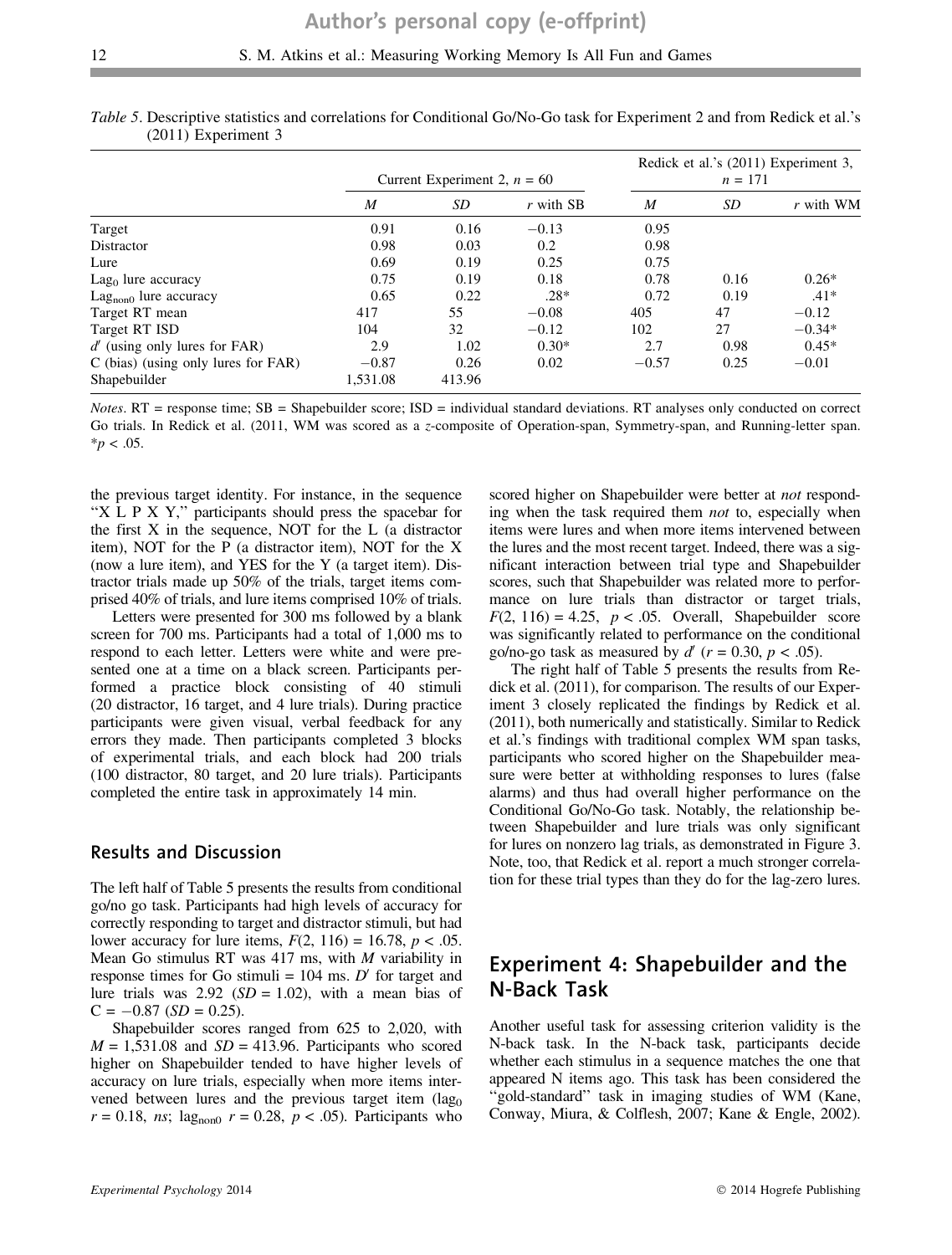|                                     |          |                                |             |                  |           | Redick et al.'s (2011) Experiment 3, |
|-------------------------------------|----------|--------------------------------|-------------|------------------|-----------|--------------------------------------|
|                                     |          | Current Experiment 2, $n = 60$ |             |                  | $n = 171$ |                                      |
|                                     | M        | SD                             | $r$ with SB | $\boldsymbol{M}$ | SD        | $r$ with WM                          |
| Target                              | 0.91     | 0.16                           | $-0.13$     | 0.95             |           |                                      |
| Distractor                          | 0.98     | 0.03                           | 0.2         | 0.98             |           |                                      |
| Lure                                | 0.69     | 0.19                           | 0.25        | 0.75             |           |                                      |
| $Lag0$ lure accuracy                | 0.75     | 0.19                           | 0.18        | 0.78             | 0.16      | $0.26*$                              |
| Lag <sub>non0</sub> lure accuracy   | 0.65     | 0.22                           | $.28*$      | 0.72             | 0.19      | $.41*$                               |
| Target RT mean                      | 417      | 55                             | $-0.08$     | 405              | 47        | $-0.12$                              |
| Target RT ISD                       | 104      | 32                             | $-0.12$     | 102              | 27        | $-0.34*$                             |
| $d'$ (using only lures for FAR)     | 2.9      | 1.02                           | $0.30*$     | 2.7              | 0.98      | $0.45*$                              |
| C (bias) (using only lures for FAR) | $-0.87$  | 0.26                           | 0.02        | $-0.57$          | 0.25      | $-0.01$                              |
| Shapebuilder                        | 1.531.08 | 413.96                         |             |                  |           |                                      |

Table 5. Descriptive statistics and correlations for Conditional Go/No-Go task for Experiment 2 and from Redick et al.'s (2011) Experiment 3

*Notes.*  $RT$  = response time;  $SB$  = Shapebuilder score;  $ISD$  = individual standard deviations.  $RT$  analyses only conducted on correct Go trials. In Redick et al. (2011, WM was scored as a z-composite of Operation-span, Symmetry-span, and Running-letter span.  $*<sub>p</sub> < .05$ .

the previous target identity. For instance, in the sequence "X L P X Y," participants should press the spacebar for the first X in the sequence, NOT for the L (a distractor item), NOT for the P (a distractor item), NOT for the X (now a lure item), and YES for the Y (a target item). Distractor trials made up 50% of the trials, target items comprised 40% of trials, and lure items comprised 10% of trials.

Letters were presented for 300 ms followed by a blank screen for 700 ms. Participants had a total of 1,000 ms to respond to each letter. Letters were white and were presented one at a time on a black screen. Participants performed a practice block consisting of 40 stimuli (20 distractor, 16 target, and 4 lure trials). During practice participants were given visual, verbal feedback for any errors they made. Then participants completed 3 blocks of experimental trials, and each block had 200 trials (100 distractor, 80 target, and 20 lure trials). Participants completed the entire task in approximately 14 min.

#### Results and Discussion

The left half of Table 5 presents the results from conditional go/no go task. Participants had high levels of accuracy for correctly responding to target and distractor stimuli, but had lower accuracy for lure items,  $F(2, 116) = 16.78$ ,  $p < .05$ . Mean Go stimulus RT was  $417$  ms, with M variability in response times for Go stimuli =  $104$  ms.  $D'$  for target and lure trials was  $2.92$  (SD = 1.02), with a mean bias of  $C = -0.87$  (SD = 0.25).

Shapebuilder scores ranged from 625 to 2,020, with  $M = 1,531.08$  and  $SD = 413.96$ . Participants who scored higher on Shapebuilder tended to have higher levels of accuracy on lure trials, especially when more items intervened between lures and the previous target item (lag<sub>0</sub>)  $r = 0.18$ , ns; lag<sub>non0</sub>  $r = 0.28$ ,  $p < .05$ ). Participants who

scored higher on Shapebuilder were better at not responding when the task required them not to, especially when items were lures and when more items intervened between the lures and the most recent target. Indeed, there was a significant interaction between trial type and Shapebuilder scores, such that Shapebuilder was related more to performance on lure trials than distractor or target trials,  $F(2, 116) = 4.25$ ,  $p < .05$ . Overall, Shapebuilder score was significantly related to performance on the conditional go/no-go task as measured by  $d'(r = 0.30, p < .05)$ .

The right half of Table 5 presents the results from Redick et al. (2011), for comparison. The results of our Experiment 3 closely replicated the findings by Redick et al. (2011), both numerically and statistically. Similar to Redick et al.'s findings with traditional complex WM span tasks, participants who scored higher on the Shapebuilder measure were better at withholding responses to lures (false alarms) and thus had overall higher performance on the Conditional Go/No-Go task. Notably, the relationship between Shapebuilder and lure trials was only significant for lures on nonzero lag trials, as demonstrated in Figure 3. Note, too, that Redick et al. report a much stronger correlation for these trial types than they do for the lag-zero lures.

#### Experiment 4: Shapebuilder and the N-Back Task

Another useful task for assessing criterion validity is the N-back task. In the N-back task, participants decide whether each stimulus in a sequence matches the one that appeared N items ago. This task has been considered the "gold-standard" task in imaging studies of WM (Kane, Conway, Miura, & Colflesh, 2007; Kane & Engle, 2002).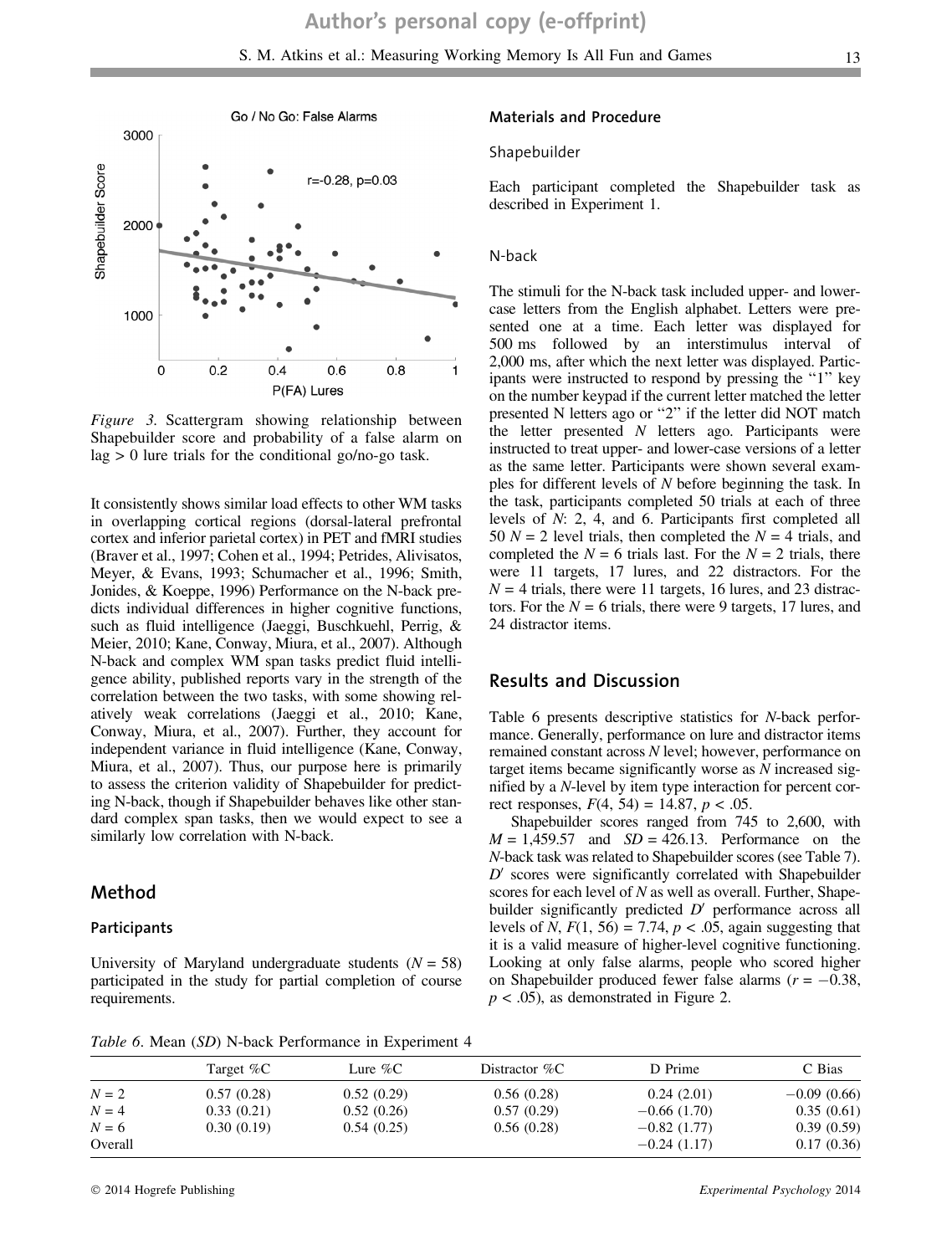

Figure 3. Scattergram showing relationship between Shapebuilder score and probability of a false alarm on  $lag > 0$  lure trials for the conditional go/no-go task.

It consistently shows similar load effects to other WM tasks in overlapping cortical regions (dorsal-lateral prefrontal cortex and inferior parietal cortex) in PET and fMRI studies (Braver et al., 1997; Cohen et al., 1994; Petrides, Alivisatos, Meyer, & Evans, 1993; Schumacher et al., 1996; Smith, Jonides, & Koeppe, 1996) Performance on the N-back predicts individual differences in higher cognitive functions, such as fluid intelligence (Jaeggi, Buschkuehl, Perrig, & Meier, 2010; Kane, Conway, Miura, et al., 2007). Although N-back and complex WM span tasks predict fluid intelligence ability, published reports vary in the strength of the correlation between the two tasks, with some showing relatively weak correlations (Jaeggi et al., 2010; Kane, Conway, Miura, et al., 2007). Further, they account for independent variance in fluid intelligence (Kane, Conway, Miura, et al., 2007). Thus, our purpose here is primarily to assess the criterion validity of Shapebuilder for predicting N-back, though if Shapebuilder behaves like other standard complex span tasks, then we would expect to see a similarly low correlation with N-back.

#### Method

#### **Participants**

University of Maryland undergraduate students  $(N = 58)$ participated in the study for partial completion of course requirements.

#### Materials and Procedure

#### Shapebuilder

Each participant completed the Shapebuilder task as described in Experiment 1.

#### N-back

The stimuli for the N-back task included upper- and lowercase letters from the English alphabet. Letters were presented one at a time. Each letter was displayed for 500 ms followed by an interstimulus interval of 2,000 ms, after which the next letter was displayed. Participants were instructed to respond by pressing the "1" key on the number keypad if the current letter matched the letter presented N letters ago or ''2'' if the letter did NOT match the letter presented  $N$  letters ago. Participants were instructed to treat upper- and lower-case versions of a letter as the same letter. Participants were shown several examples for different levels of N before beginning the task. In the task, participants completed 50 trials at each of three levels of N: 2, 4, and 6. Participants first completed all 50  $N = 2$  level trials, then completed the  $N = 4$  trials, and completed the  $N = 6$  trials last. For the  $N = 2$  trials, there were 11 targets, 17 lures, and 22 distractors. For the  $N = 4$  trials, there were 11 targets, 16 lures, and 23 distractors. For the  $N = 6$  trials, there were 9 targets, 17 lures, and 24 distractor items.

#### Results and Discussion

Table 6 presents descriptive statistics for N-back performance. Generally, performance on lure and distractor items remained constant across N level; however, performance on target items became significantly worse as N increased signified by a N-level by item type interaction for percent correct responses,  $F(4, 54) = 14.87, p < .05$ .

Shapebuilder scores ranged from 745 to 2,600, with  $M = 1,459.57$  and  $SD = 426.13$ . Performance on the N-back task was related to Shapebuilder scores (see Table 7).  $D'$  scores were significantly correlated with Shapebuilder scores for each level of N as well as overall. Further, Shapebuilder significantly predicted  $D'$  performance across all levels of N,  $F(1, 56) = 7.74$ ,  $p < .05$ , again suggesting that it is a valid measure of higher-level cognitive functioning. Looking at only false alarms, people who scored higher on Shapebuilder produced fewer false alarms ( $r = -0.38$ ,  $p < .05$ ), as demonstrated in Figure 2.

Table 6. Mean (SD) N-back Performance in Experiment 4

|         | Target $\%C$ | Lure $\%C$ | Distractor $\%C$ | D Prime       | C Bias        |
|---------|--------------|------------|------------------|---------------|---------------|
| $N=2$   | 0.57(0.28)   | 0.52(0.29) | 0.56(0.28)       | 0.24(2.01)    | $-0.09(0.66)$ |
| $N=4$   | 0.33(0.21)   | 0.52(0.26) | 0.57(0.29)       | $-0.66(1.70)$ | 0.35(0.61)    |
| $N=6$   | 0.30(0.19)   | 0.54(0.25) | 0.56(0.28)       | $-0.82(1.77)$ | 0.39(0.59)    |
| Overall |              |            |                  | $-0.24(1.17)$ | 0.17(0.36)    |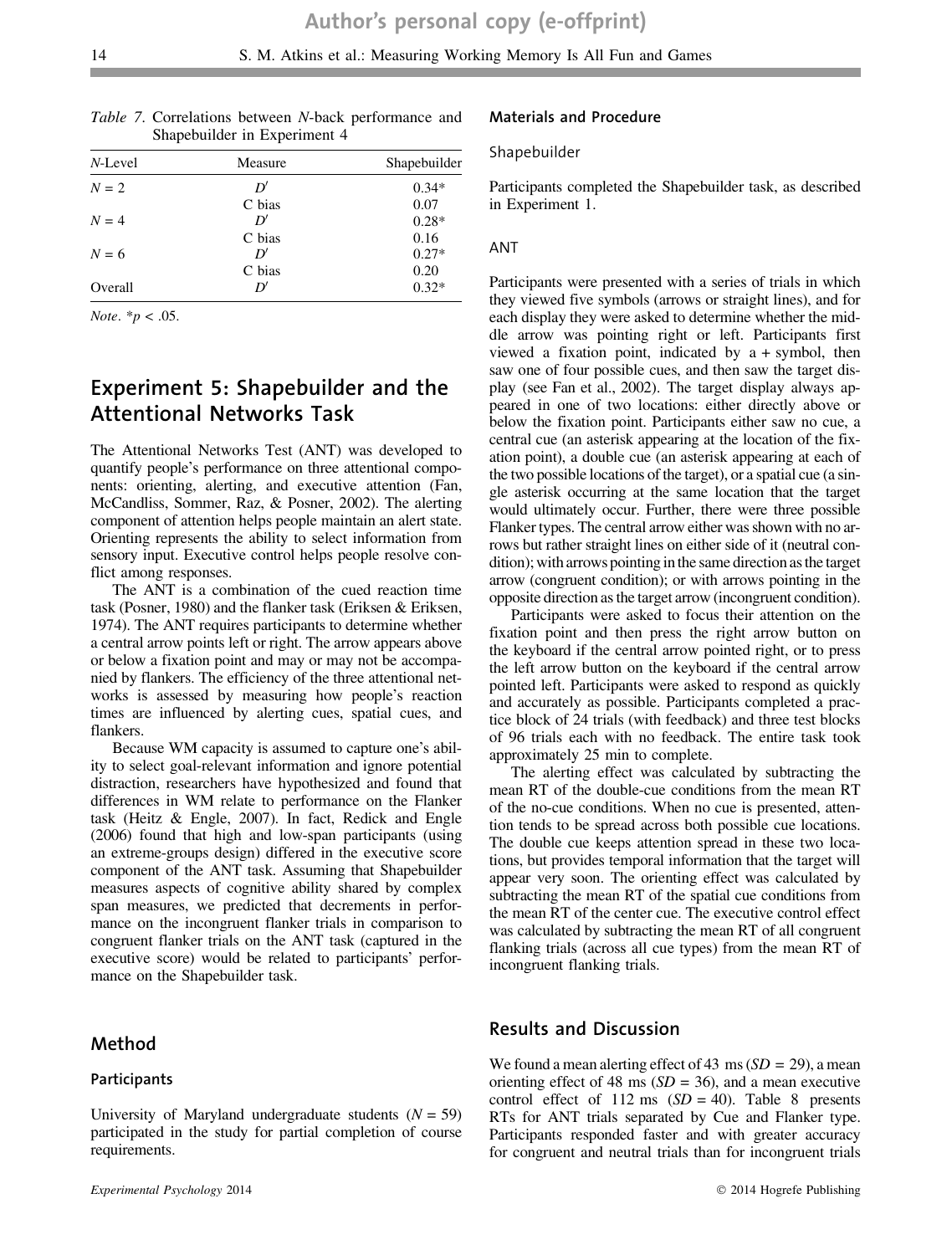| $N$ -Level | Measure      | Shapebuilder |
|------------|--------------|--------------|
| $N = 2$    | D            | $0.34*$      |
|            | C bias       | 0.07         |
| $N=4$      | D'           | $0.28*$      |
|            | C bias       | 0.16         |
| $N=6$      | D'           | $0.27*$      |
|            | C bias       | 0.20         |
| Overall    | $D^{\prime}$ | $0.32*$      |

Table 7. Correlations between N-back performance and Shapebuilder in Experiment 4

*Note.*  $* p < .05$ .

#### Experiment 5: Shapebuilder and the Attentional Networks Task

The Attentional Networks Test (ANT) was developed to quantify people's performance on three attentional components: orienting, alerting, and executive attention (Fan, McCandliss, Sommer, Raz, & Posner, 2002). The alerting component of attention helps people maintain an alert state. Orienting represents the ability to select information from sensory input. Executive control helps people resolve conflict among responses.

The ANT is a combination of the cued reaction time task (Posner, 1980) and the flanker task (Eriksen & Eriksen, 1974). The ANT requires participants to determine whether a central arrow points left or right. The arrow appears above or below a fixation point and may or may not be accompanied by flankers. The efficiency of the three attentional networks is assessed by measuring how people's reaction times are influenced by alerting cues, spatial cues, and flankers.

Because WM capacity is assumed to capture one's ability to select goal-relevant information and ignore potential distraction, researchers have hypothesized and found that differences in WM relate to performance on the Flanker task (Heitz & Engle, 2007). In fact, Redick and Engle (2006) found that high and low-span participants (using an extreme-groups design) differed in the executive score component of the ANT task. Assuming that Shapebuilder measures aspects of cognitive ability shared by complex span measures, we predicted that decrements in performance on the incongruent flanker trials in comparison to congruent flanker trials on the ANT task (captured in the executive score) would be related to participants' performance on the Shapebuilder task.

#### Method

#### **Participants**

University of Maryland undergraduate students  $(N = 59)$ participated in the study for partial completion of course requirements.

#### Materials and Procedure

#### Shapebuilder

Participants completed the Shapebuilder task, as described in Experiment 1.

#### ANT

Participants were presented with a series of trials in which they viewed five symbols (arrows or straight lines), and for each display they were asked to determine whether the middle arrow was pointing right or left. Participants first viewed a fixation point, indicated by a + symbol, then saw one of four possible cues, and then saw the target display (see Fan et al., 2002). The target display always appeared in one of two locations: either directly above or below the fixation point. Participants either saw no cue, a central cue (an asterisk appearing at the location of the fixation point), a double cue (an asterisk appearing at each of the two possible locations of the target), or a spatial cue (a single asterisk occurring at the same location that the target would ultimately occur. Further, there were three possible Flanker types. The central arrow either was shown with no arrows but rather straight lines on either side of it (neutral condition); with arrows pointing in the same direction as the target arrow (congruent condition); or with arrows pointing in the opposite direction as the target arrow (incongruent condition).

Participants were asked to focus their attention on the fixation point and then press the right arrow button on the keyboard if the central arrow pointed right, or to press the left arrow button on the keyboard if the central arrow pointed left. Participants were asked to respond as quickly and accurately as possible. Participants completed a practice block of 24 trials (with feedback) and three test blocks of 96 trials each with no feedback. The entire task took approximately 25 min to complete.

The alerting effect was calculated by subtracting the mean RT of the double-cue conditions from the mean RT of the no-cue conditions. When no cue is presented, attention tends to be spread across both possible cue locations. The double cue keeps attention spread in these two locations, but provides temporal information that the target will appear very soon. The orienting effect was calculated by subtracting the mean RT of the spatial cue conditions from the mean RT of the center cue. The executive control effect was calculated by subtracting the mean RT of all congruent flanking trials (across all cue types) from the mean RT of incongruent flanking trials.

#### Results and Discussion

We found a mean alerting effect of 43 ms  $(SD = 29)$ , a mean orienting effect of 48 ms  $(SD = 36)$ , and a mean executive control effect of 112 ms  $(SD = 40)$ . Table 8 presents RTs for ANT trials separated by Cue and Flanker type. Participants responded faster and with greater accuracy for congruent and neutral trials than for incongruent trials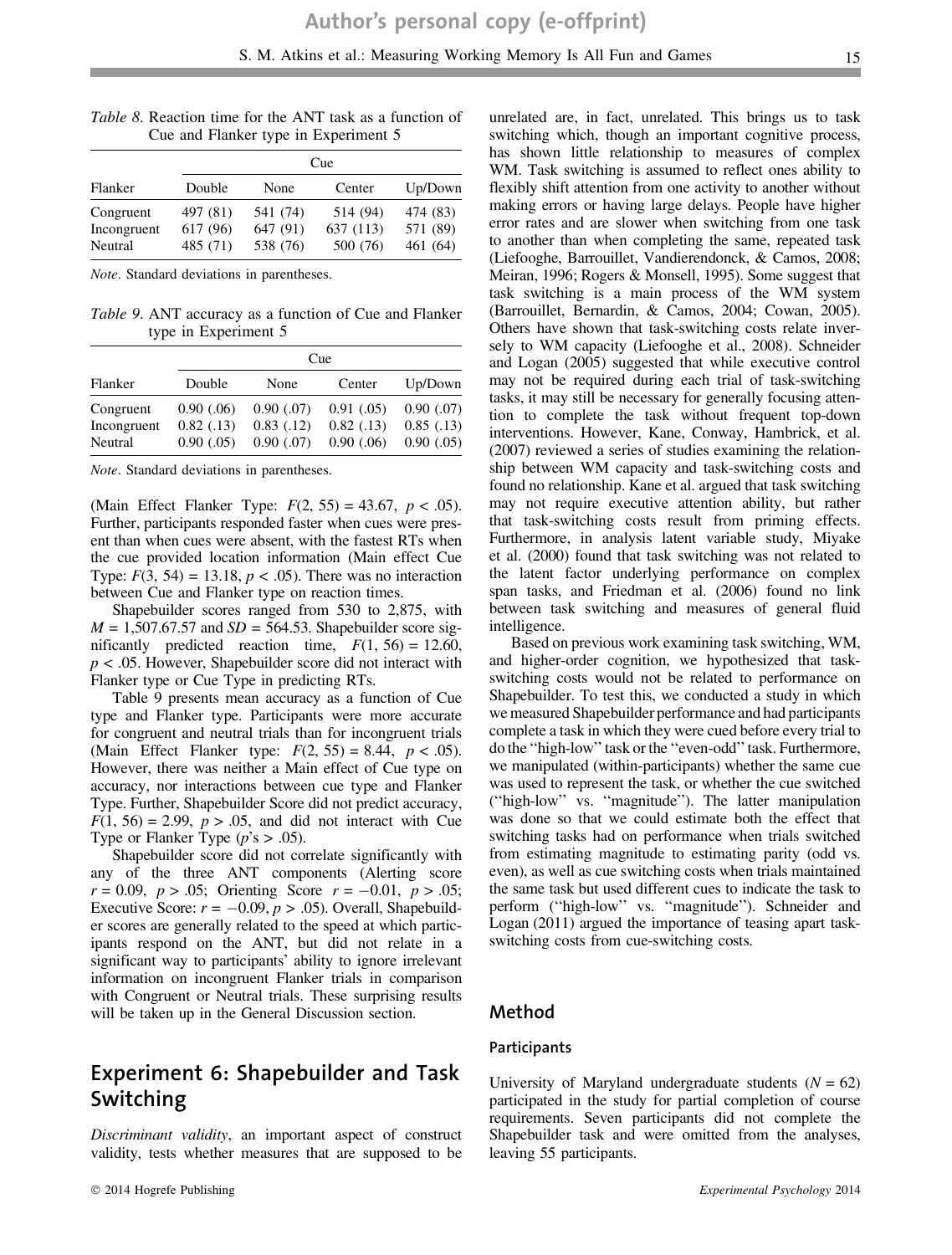|                                     | Cue                              |                                  |                                   |                                  |  |  |
|-------------------------------------|----------------------------------|----------------------------------|-----------------------------------|----------------------------------|--|--|
| Flanker                             | Double                           | None                             | Center                            | Up/Down                          |  |  |
| Congruent<br>Incongruent<br>Neutral | 497 (81)<br>617 (96)<br>485 (71) | 541 (74)<br>647 (91)<br>538 (76) | 514 (94)<br>637 (113)<br>500 (76) | 474 (83)<br>571 (89)<br>461 (64) |  |  |

Table 8. Reaction time for the ANT task as a function of Cue and Flanker type in Experiment 5

Note. Standard deviations in parentheses.

Table 9. ANT accuracy as a function of Cue and Flanker type in Experiment 5

|                                     |                                        |                                        | Cue                                    |                                        |
|-------------------------------------|----------------------------------------|----------------------------------------|----------------------------------------|----------------------------------------|
| Flanker                             | Double                                 | None                                   | Center                                 | Up/Down                                |
| Congruent<br>Incongruent<br>Neutral | 0.90(0.06)<br>0.82(0.13)<br>0.90(0.05) | 0.90(0.07)<br>0.83(0.12)<br>0.90(0.07) | 0.91(0.05)<br>0.82(0.13)<br>0.90(0.06) | 0.90(0.07)<br>0.85(0.13)<br>0.90(0.05) |

Note. Standard deviations in parentheses.

(Main Effect Flanker Type:  $F(2, 55) = 43.67, p < .05$ ). Further, participants responded faster when cues were present than when cues were absent, with the fastest RTs when the cue provided location information (Main effect Cue Type:  $F(3, 54) = 13.18, p < .05$ . There was no interaction between Cue and Flanker type on reaction times.

Shapebuilder scores ranged from 530 to 2,875, with  $M = 1,507.67.57$  and  $SD = 564.53$ . Shapebuilder score significantly predicted reaction time,  $F(1, 56) = 12.60$ ,  $p < .05$ . However, Shapebuilder score did not interact with Flanker type or Cue Type in predicting RTs.

Table 9 presents mean accuracy as a function of Cue type and Flanker type. Participants were more accurate for congruent and neutral trials than for incongruent trials (Main Effect Flanker type:  $F(2, 55) = 8.44$ ,  $p < .05$ ). However, there was neither a Main effect of Cue type on accuracy, nor interactions between cue type and Flanker Type. Further, Shapebuilder Score did not predict accuracy,  $F(1, 56) = 2.99$ ,  $p > .05$ , and did not interact with Cue Type or Flanker Type  $(p's > .05)$ .

Shapebuilder score did not correlate significantly with any of the three ANT components (Alerting score  $r = 0.09$ ,  $p > 0.05$ ; Orienting Score  $r = -0.01$ ,  $p > 0.05$ ; Executive Score:  $r = -0.09$ ,  $p > 0.05$ ). Overall, Shapebuilder scores are generally related to the speed at which participants respond on the ANT, but did not relate in a significant way to participants' ability to ignore irrelevant information on incongruent Flanker trials in comparison with Congruent or Neutral trials. These surprising results will be taken up in the General Discussion section.

#### Experiment 6: Shapebuilder and Task Switching

Discriminant validity, an important aspect of construct validity, tests whether measures that are supposed to be unrelated are, in fact, unrelated. This brings us to task switching which, though an important cognitive process, has shown little relationship to measures of complex WM. Task switching is assumed to reflect ones ability to flexibly shift attention from one activity to another without making errors or having large delays. People have higher error rates and are slower when switching from one task to another than when completing the same, repeated task (Liefooghe, Barrouillet, Vandierendonck, & Camos, 2008; Meiran, 1996; Rogers & Monsell, 1995). Some suggest that task switching is a main process of the WM system (Barrouillet, Bernardin, & Camos, 2004; Cowan, 2005). Others have shown that task-switching costs relate inversely to WM capacity (Liefooghe et al., 2008). Schneider and Logan (2005) suggested that while executive control may not be required during each trial of task-switching tasks, it may still be necessary for generally focusing attention to complete the task without frequent top-down interventions. However, Kane, Conway, Hambrick, et al. (2007) reviewed a series of studies examining the relationship between WM capacity and task-switching costs and found no relationship. Kane et al. argued that task switching may not require executive attention ability, but rather that task-switching costs result from priming effects. Furthermore, in analysis latent variable study, Miyake et al. (2000) found that task switching was not related to the latent factor underlying performance on complex span tasks, and Friedman et al. (2006) found no link between task switching and measures of general fluid intelligence.

Based on previous work examining task switching, WM, and higher-order cognition, we hypothesized that taskswitching costs would not be related to performance on Shapebuilder. To test this, we conducted a study in which we measured Shapebuilder performance and had participants complete a task in which they were cued before every trial to do the ''high-low'' task or the ''even-odd'' task. Furthermore, we manipulated (within-participants) whether the same cue was used to represent the task, or whether the cue switched (''high-low'' vs. ''magnitude''). The latter manipulation was done so that we could estimate both the effect that switching tasks had on performance when trials switched from estimating magnitude to estimating parity (odd vs. even), as well as cue switching costs when trials maintained the same task but used different cues to indicate the task to perform (''high-low'' vs. ''magnitude''). Schneider and Logan (2011) argued the importance of teasing apart taskswitching costs from cue-switching costs.

#### Method

#### Participants

University of Maryland undergraduate students  $(N = 62)$ participated in the study for partial completion of course requirements. Seven participants did not complete the Shapebuilder task and were omitted from the analyses, leaving 55 participants.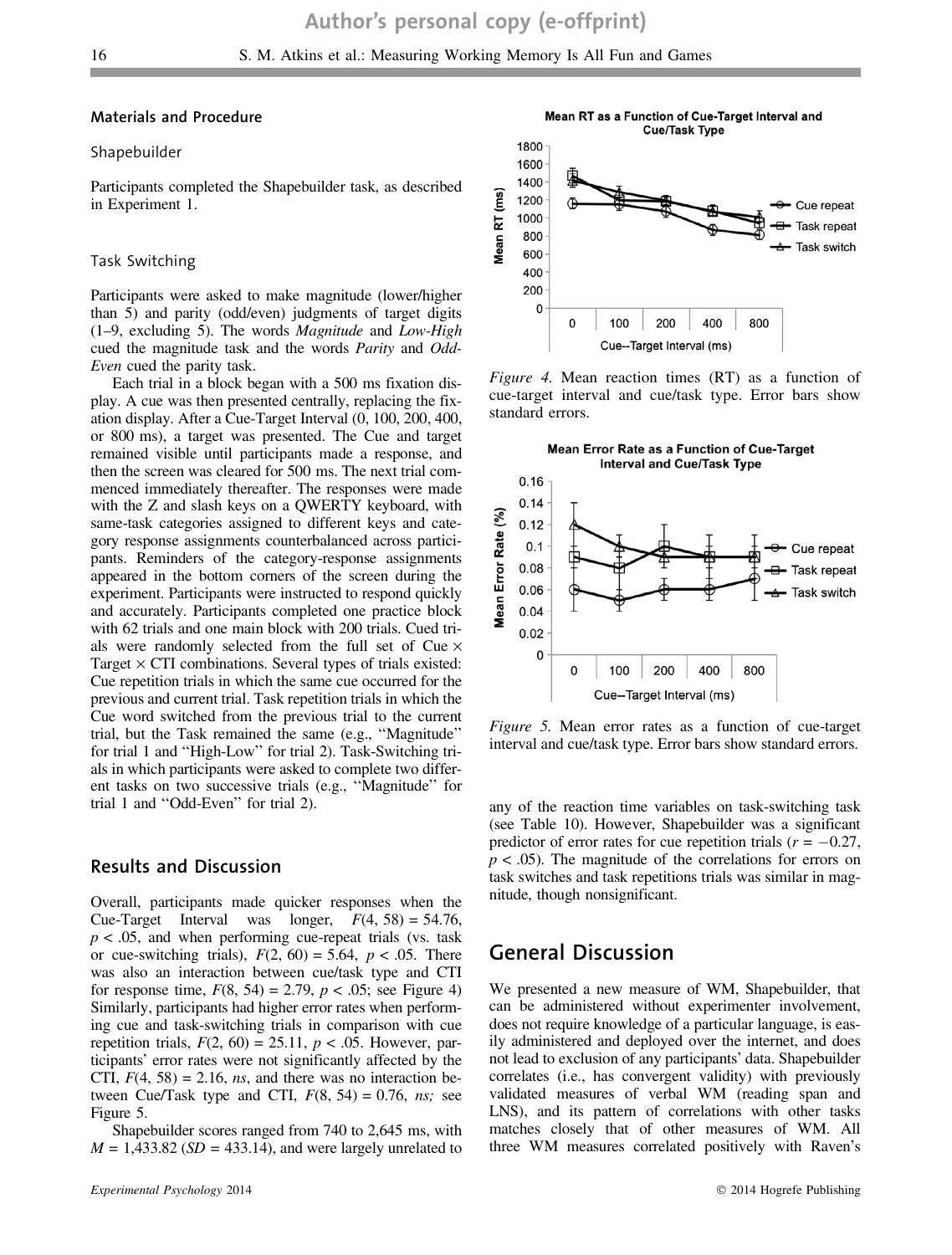#### Materials and Procedure

#### Shapebuilder

Participants completed the Shapebuilder task, as described in Experiment 1.

#### Task Switching

Participants were asked to make magnitude (lower/higher than 5) and parity (odd/even) judgments of target digits (1–9, excluding 5). The words Magnitude and Low-High cued the magnitude task and the words Parity and Odd-Even cued the parity task.

Each trial in a block began with a 500 ms fixation display. A cue was then presented centrally, replacing the fixation display. After a Cue-Target Interval (0, 100, 200, 400, or 800 ms), a target was presented. The Cue and target remained visible until participants made a response, and then the screen was cleared for 500 ms. The next trial commenced immediately thereafter. The responses were made with the Z and slash keys on a QWERTY keyboard, with same-task categories assigned to different keys and category response assignments counterbalanced across participants. Reminders of the category-response assignments appeared in the bottom corners of the screen during the experiment. Participants were instructed to respond quickly and accurately. Participants completed one practice block with 62 trials and one main block with 200 trials. Cued trials were randomly selected from the full set of Cue  $\times$ Target  $\times$  CTI combinations. Several types of trials existed: Cue repetition trials in which the same cue occurred for the previous and current trial. Task repetition trials in which the Cue word switched from the previous trial to the current trial, but the Task remained the same (e.g., ''Magnitude'' for trial 1 and ''High-Low'' for trial 2). Task-Switching trials in which participants were asked to complete two different tasks on two successive trials (e.g., ''Magnitude'' for trial 1 and ''Odd-Even'' for trial 2).

#### Results and Discussion

Overall, participants made quicker responses when the Cue-Target Interval was longer,  $F(4, 58) = 54.76$ ,  $p < .05$ , and when performing cue-repeat trials (vs. task or cue-switching trials),  $F(2, 60) = 5.64$ ,  $p < .05$ . There was also an interaction between cue/task type and CTI for response time,  $F(8, 54) = 2.79$ ,  $p < .05$ ; see Figure 4) Similarly, participants had higher error rates when performing cue and task-switching trials in comparison with cue repetition trials,  $F(2, 60) = 25.11$ ,  $p < .05$ . However, participants' error rates were not significantly affected by the CTI,  $F(4, 58) = 2.16$ , *ns*, and there was no interaction between Cue/Task type and CTI,  $F(8, 54) = 0.76$ , ns; see Figure 5.

Shapebuilder scores ranged from 740 to 2,645 ms, with  $M = 1,433.82$  (SD = 433.14), and were largely unrelated to





Figure 4. Mean reaction times (RT) as a function of cue-target interval and cue/task type. Error bars show standard errors.



Figure 5. Mean error rates as a function of cue-target interval and cue/task type. Error bars show standard errors.

any of the reaction time variables on task-switching task (see Table 10). However, Shapebuilder was a significant predictor of error rates for cue repetition trials ( $r = -0.27$ ,  $p < .05$ ). The magnitude of the correlations for errors on task switches and task repetitions trials was similar in magnitude, though nonsignificant.

#### General Discussion

We presented a new measure of WM, Shapebuilder, that can be administered without experimenter involvement, does not require knowledge of a particular language, is easily administered and deployed over the internet, and does not lead to exclusion of any participants' data. Shapebuilder correlates (i.e., has convergent validity) with previously validated measures of verbal WM (reading span and LNS), and its pattern of correlations with other tasks matches closely that of other measures of WM. All three WM measures correlated positively with Raven's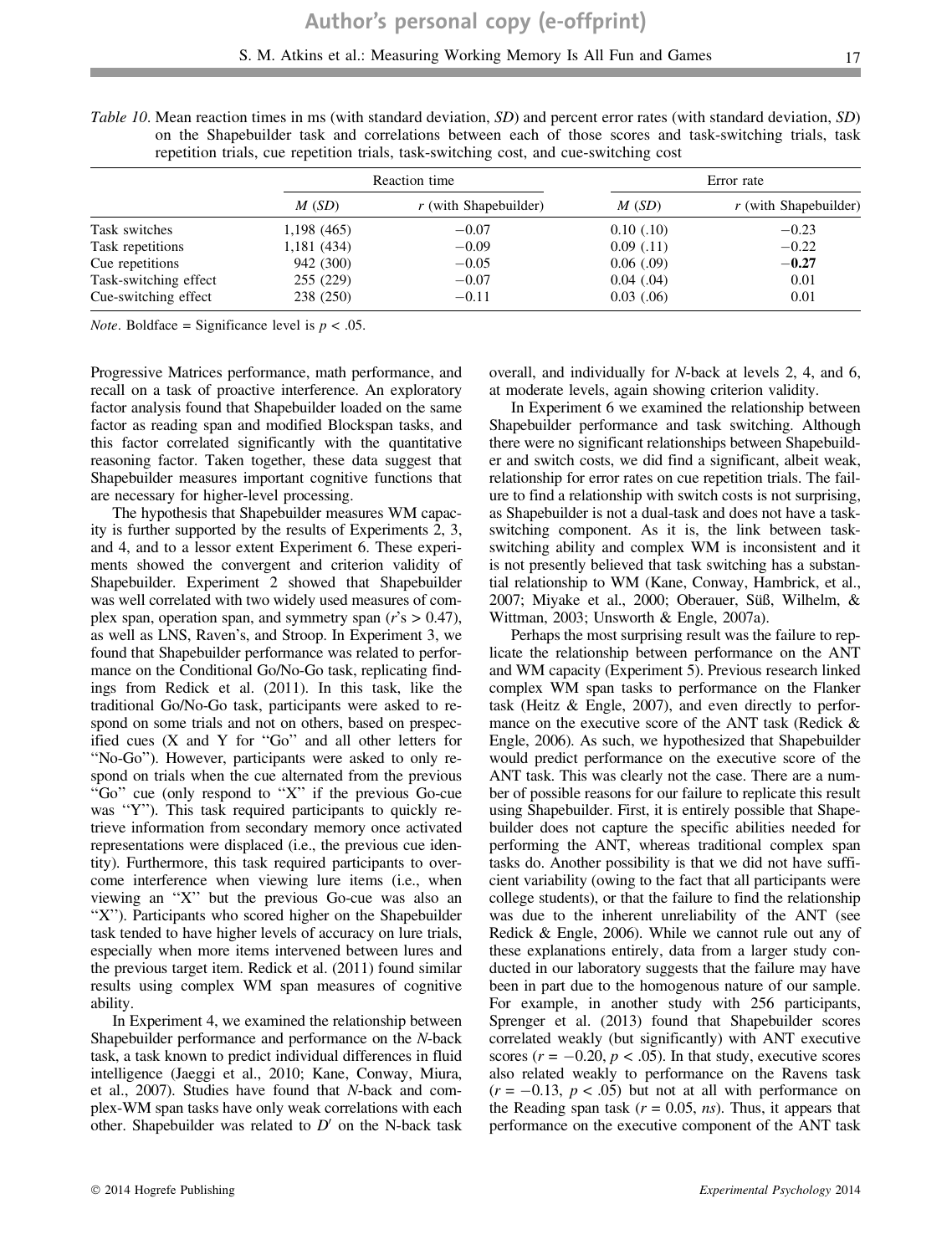Table 10. Mean reaction times in ms (with standard deviation, SD) and percent error rates (with standard deviation, SD) on the Shapebuilder task and correlations between each of those scores and task-switching trials, task repetition trials, cue repetition trials, task-switching cost, and cue-switching cost

|                       |             | Reaction time           |            | Error rate              |
|-----------------------|-------------|-------------------------|------------|-------------------------|
|                       | M(SD)       | $r$ (with Shapebuilder) | M(SD)      | $r$ (with Shapebuilder) |
| Task switches         | 1,198(465)  | $-0.07$                 | 0.10(0.10) | $-0.23$                 |
| Task repetitions      | 1,181 (434) | $-0.09$                 | 0.09(0.11) | $-0.22$                 |
| Cue repetitions       | 942 (300)   | $-0.05$                 | 0.06(0.09) | $-0.27$                 |
| Task-switching effect | 255 (229)   | $-0.07$                 | 0.04(0.04) | 0.01                    |
| Cue-switching effect  | 238 (250)   | $-0.11$                 | 0.03(0.06) | 0.01                    |

*Note*. Boldface = Significance level is  $p < .05$ .

Progressive Matrices performance, math performance, and recall on a task of proactive interference. An exploratory factor analysis found that Shapebuilder loaded on the same factor as reading span and modified Blockspan tasks, and this factor correlated significantly with the quantitative reasoning factor. Taken together, these data suggest that Shapebuilder measures important cognitive functions that are necessary for higher-level processing.

The hypothesis that Shapebuilder measures WM capacity is further supported by the results of Experiments 2, 3, and 4, and to a lessor extent Experiment 6. These experiments showed the convergent and criterion validity of Shapebuilder. Experiment 2 showed that Shapebuilder was well correlated with two widely used measures of complex span, operation span, and symmetry span  $(r's > 0.47)$ , as well as LNS, Raven's, and Stroop. In Experiment 3, we found that Shapebuilder performance was related to performance on the Conditional Go/No-Go task, replicating findings from Redick et al. (2011). In this task, like the traditional Go/No-Go task, participants were asked to respond on some trials and not on others, based on prespecified cues (X and Y for ''Go'' and all other letters for ''No-Go''). However, participants were asked to only respond on trials when the cue alternated from the previous ''Go'' cue (only respond to ''X'' if the previous Go-cue was ''Y''). This task required participants to quickly retrieve information from secondary memory once activated representations were displaced (i.e., the previous cue identity). Furthermore, this task required participants to overcome interference when viewing lure items (i.e., when viewing an ''X'' but the previous Go-cue was also an ''X''). Participants who scored higher on the Shapebuilder task tended to have higher levels of accuracy on lure trials, especially when more items intervened between lures and the previous target item. Redick et al. (2011) found similar results using complex WM span measures of cognitive ability.

In Experiment 4, we examined the relationship between Shapebuilder performance and performance on the N-back task, a task known to predict individual differences in fluid intelligence (Jaeggi et al., 2010; Kane, Conway, Miura, et al., 2007). Studies have found that N-back and complex-WM span tasks have only weak correlations with each other. Shapebuilder was related to  $D'$  on the N-back task

overall, and individually for N-back at levels 2, 4, and 6, at moderate levels, again showing criterion validity.

In Experiment 6 we examined the relationship between Shapebuilder performance and task switching. Although there were no significant relationships between Shapebuilder and switch costs, we did find a significant, albeit weak, relationship for error rates on cue repetition trials. The failure to find a relationship with switch costs is not surprising, as Shapebuilder is not a dual-task and does not have a taskswitching component. As it is, the link between taskswitching ability and complex WM is inconsistent and it is not presently believed that task switching has a substantial relationship to WM (Kane, Conway, Hambrick, et al., 2007; Miyake et al., 2000; Oberauer, Süß, Wilhelm, & Wittman, 2003; Unsworth & Engle, 2007a).

Perhaps the most surprising result was the failure to replicate the relationship between performance on the ANT and WM capacity (Experiment 5). Previous research linked complex WM span tasks to performance on the Flanker task (Heitz & Engle, 2007), and even directly to performance on the executive score of the ANT task (Redick & Engle, 2006). As such, we hypothesized that Shapebuilder would predict performance on the executive score of the ANT task. This was clearly not the case. There are a number of possible reasons for our failure to replicate this result using Shapebuilder. First, it is entirely possible that Shapebuilder does not capture the specific abilities needed for performing the ANT, whereas traditional complex span tasks do. Another possibility is that we did not have sufficient variability (owing to the fact that all participants were college students), or that the failure to find the relationship was due to the inherent unreliability of the ANT (see Redick & Engle, 2006). While we cannot rule out any of these explanations entirely, data from a larger study conducted in our laboratory suggests that the failure may have been in part due to the homogenous nature of our sample. For example, in another study with 256 participants, Sprenger et al. (2013) found that Shapebuilder scores correlated weakly (but significantly) with ANT executive scores ( $r = -0.20$ ,  $p < .05$ ). In that study, executive scores also related weakly to performance on the Ravens task  $(r = -0.13, p < .05)$  but not at all with performance on the Reading span task ( $r = 0.05$ , *ns*). Thus, it appears that performance on the executive component of the ANT task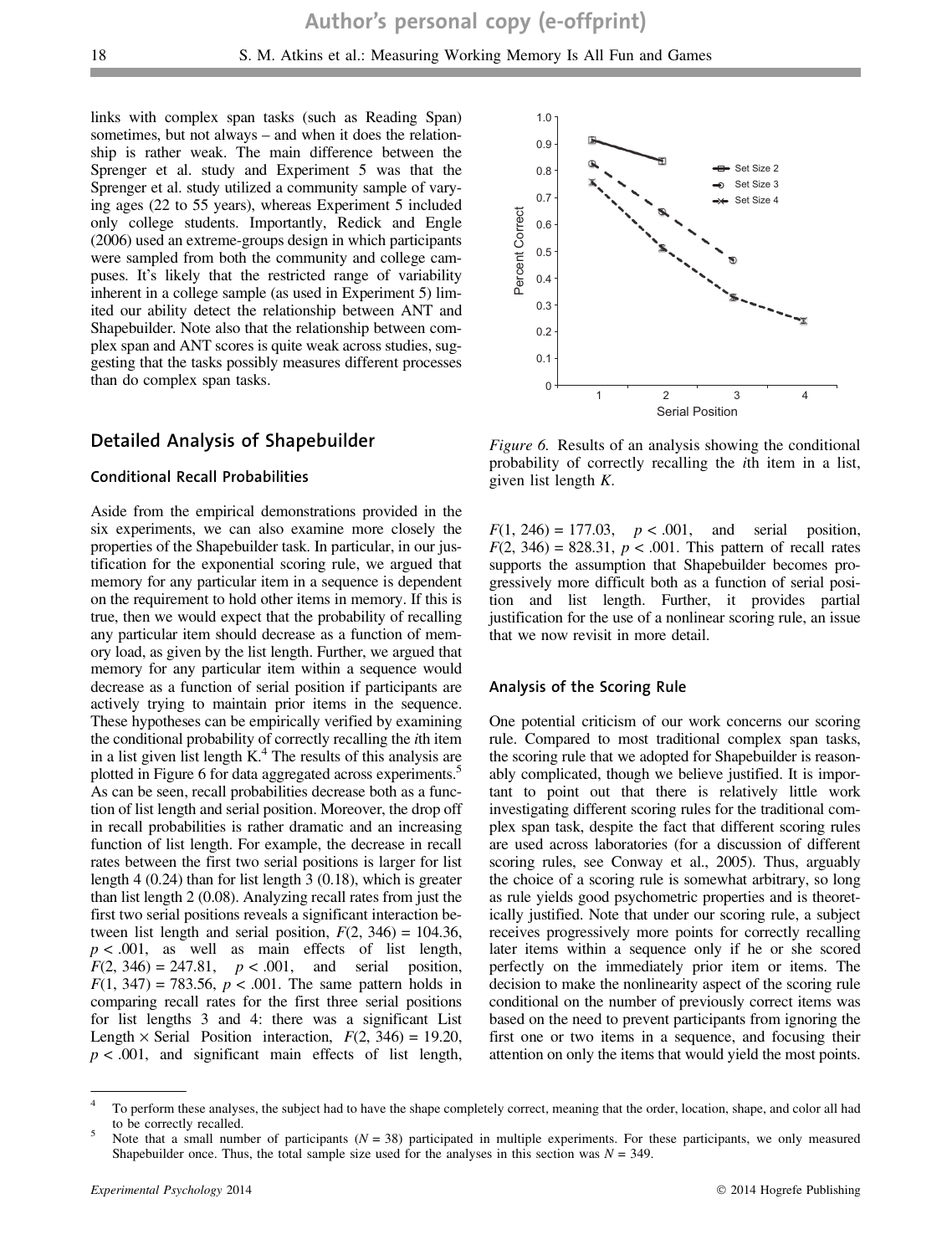links with complex span tasks (such as Reading Span) sometimes, but not always – and when it does the relationship is rather weak. The main difference between the Sprenger et al. study and Experiment 5 was that the Sprenger et al. study utilized a community sample of varying ages (22 to 55 years), whereas Experiment 5 included only college students. Importantly, Redick and Engle (2006) used an extreme-groups design in which participants were sampled from both the community and college campuses. It's likely that the restricted range of variability inherent in a college sample (as used in Experiment 5) limited our ability detect the relationship between ANT and Shapebuilder. Note also that the relationship between complex span and ANT scores is quite weak across studies, suggesting that the tasks possibly measures different processes than do complex span tasks.

#### Detailed Analysis of Shapebuilder

#### Conditional Recall Probabilities

Aside from the empirical demonstrations provided in the six experiments, we can also examine more closely the properties of the Shapebuilder task. In particular, in our justification for the exponential scoring rule, we argued that memory for any particular item in a sequence is dependent on the requirement to hold other items in memory. If this is true, then we would expect that the probability of recalling any particular item should decrease as a function of memory load, as given by the list length. Further, we argued that memory for any particular item within a sequence would decrease as a function of serial position if participants are actively trying to maintain prior items in the sequence. These hypotheses can be empirically verified by examining the conditional probability of correctly recalling the ith item in a list given list length  $K<sup>4</sup>$ . The results of this analysis are plotted in Figure 6 for data aggregated across experiments.<sup>5</sup> As can be seen, recall probabilities decrease both as a function of list length and serial position. Moreover, the drop off in recall probabilities is rather dramatic and an increasing function of list length. For example, the decrease in recall rates between the first two serial positions is larger for list length 4 (0.24) than for list length 3 (0.18), which is greater than list length 2 (0.08). Analyzing recall rates from just the first two serial positions reveals a significant interaction between list length and serial position,  $F(2, 346) = 104.36$ ,  $p < .001$ , as well as main effects of list length,  $F(2, 346) = 247.81, p < .001,$  and serial position,  $F(1, 347) = 783.56, p < .001$ . The same pattern holds in comparing recall rates for the first three serial positions for list lengths 3 and 4: there was a significant List Length  $\times$  Serial Position interaction,  $F(2, 346) = 19.20$ ,  $p < .001$ , and significant main effects of list length,



Figure 6. Results of an analysis showing the conditional probability of correctly recalling the ith item in a list, given list length K.

 $F(1, 246) = 177.03$ ,  $p < .001$ , and serial position,  $F(2, 346) = 828.31, p < .001$ . This pattern of recall rates supports the assumption that Shapebuilder becomes progressively more difficult both as a function of serial position and list length. Further, it provides partial justification for the use of a nonlinear scoring rule, an issue that we now revisit in more detail.

#### Analysis of the Scoring Rule

One potential criticism of our work concerns our scoring rule. Compared to most traditional complex span tasks, the scoring rule that we adopted for Shapebuilder is reasonably complicated, though we believe justified. It is important to point out that there is relatively little work investigating different scoring rules for the traditional complex span task, despite the fact that different scoring rules are used across laboratories (for a discussion of different scoring rules, see Conway et al., 2005). Thus, arguably the choice of a scoring rule is somewhat arbitrary, so long as rule yields good psychometric properties and is theoretically justified. Note that under our scoring rule, a subject receives progressively more points for correctly recalling later items within a sequence only if he or she scored perfectly on the immediately prior item or items. The decision to make the nonlinearity aspect of the scoring rule conditional on the number of previously correct items was based on the need to prevent participants from ignoring the first one or two items in a sequence, and focusing their attention on only the items that would yield the most points.

<sup>4</sup> To perform these analyses, the subject had to have the shape completely correct, meaning that the order, location, shape, and color all had to be correctly recalled.<br>Note that a small number of participants ( $N = 38$ ) participated in multiple experiments. For these participants, we only measured

Shapebuilder once. Thus, the total sample size used for the analyses in this section was  $N = 349$ .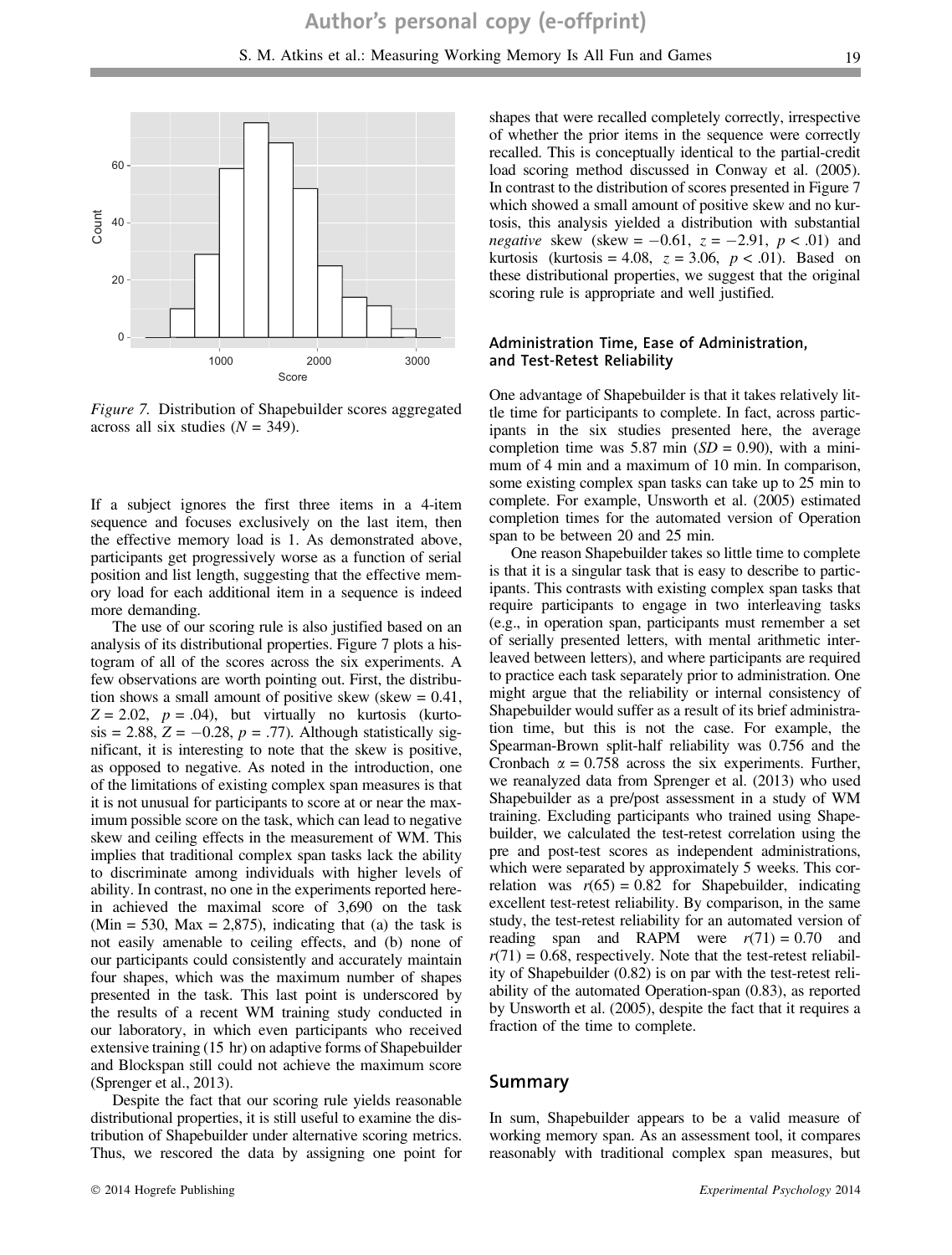

Figure 7. Distribution of Shapebuilder scores aggregated across all six studies  $(N = 349)$ .

If a subject ignores the first three items in a 4-item sequence and focuses exclusively on the last item, then the effective memory load is 1. As demonstrated above, participants get progressively worse as a function of serial position and list length, suggesting that the effective memory load for each additional item in a sequence is indeed more demanding.

The use of our scoring rule is also justified based on an analysis of its distributional properties. Figure 7 plots a histogram of all of the scores across the six experiments. A few observations are worth pointing out. First, the distribution shows a small amount of positive skew (skew  $= 0.41$ ,  $Z = 2.02$ ,  $p = .04$ ), but virtually no kurtosis (kurto $sis = 2.88$ ,  $Z = -0.28$ ,  $p = .77$ ). Although statistically significant, it is interesting to note that the skew is positive, as opposed to negative. As noted in the introduction, one of the limitations of existing complex span measures is that it is not unusual for participants to score at or near the maximum possible score on the task, which can lead to negative skew and ceiling effects in the measurement of WM. This implies that traditional complex span tasks lack the ability to discriminate among individuals with higher levels of ability. In contrast, no one in the experiments reported herein achieved the maximal score of 3,690 on the task (Min = 530, Max = 2,875), indicating that (a) the task is not easily amenable to ceiling effects, and (b) none of our participants could consistently and accurately maintain four shapes, which was the maximum number of shapes presented in the task. This last point is underscored by the results of a recent WM training study conducted in our laboratory, in which even participants who received extensive training (15 hr) on adaptive forms of Shapebuilder and Blockspan still could not achieve the maximum score (Sprenger et al., 2013).

Despite the fact that our scoring rule yields reasonable distributional properties, it is still useful to examine the distribution of Shapebuilder under alternative scoring metrics. Thus, we rescored the data by assigning one point for shapes that were recalled completely correctly, irrespective of whether the prior items in the sequence were correctly recalled. This is conceptually identical to the partial-credit load scoring method discussed in Conway et al. (2005). In contrast to the distribution of scores presented in Figure 7 which showed a small amount of positive skew and no kurtosis, this analysis yielded a distribution with substantial *negative* skew (skew =  $-0.61$ ,  $z = -2.91$ ,  $p < .01$ ) and kurtosis (kurtosis = 4.08,  $z = 3.06$ ,  $p < .01$ ). Based on these distributional properties, we suggest that the original scoring rule is appropriate and well justified.

#### Administration Time, Ease of Administration, and Test-Retest Reliability

One advantage of Shapebuilder is that it takes relatively little time for participants to complete. In fact, across participants in the six studies presented here, the average completion time was 5.87 min  $(SD = 0.90)$ , with a minimum of 4 min and a maximum of 10 min. In comparison, some existing complex span tasks can take up to 25 min to complete. For example, Unsworth et al. (2005) estimated completion times for the automated version of Operation span to be between 20 and 25 min.

One reason Shapebuilder takes so little time to complete is that it is a singular task that is easy to describe to participants. This contrasts with existing complex span tasks that require participants to engage in two interleaving tasks (e.g., in operation span, participants must remember a set of serially presented letters, with mental arithmetic interleaved between letters), and where participants are required to practice each task separately prior to administration. One might argue that the reliability or internal consistency of Shapebuilder would suffer as a result of its brief administration time, but this is not the case. For example, the Spearman-Brown split-half reliability was 0.756 and the Cronbach  $\alpha = 0.758$  across the six experiments. Further, we reanalyzed data from Sprenger et al. (2013) who used Shapebuilder as a pre/post assessment in a study of WM training. Excluding participants who trained using Shapebuilder, we calculated the test-retest correlation using the pre and post-test scores as independent administrations, which were separated by approximately 5 weeks. This correlation was  $r(65) = 0.82$  for Shapebuilder, indicating excellent test-retest reliability. By comparison, in the same study, the test-retest reliability for an automated version of reading span and RAPM were  $r(71) = 0.70$  and  $r(71) = 0.68$ , respectively. Note that the test-retest reliability of Shapebuilder (0.82) is on par with the test-retest reliability of the automated Operation-span (0.83), as reported by Unsworth et al. (2005), despite the fact that it requires a fraction of the time to complete.

#### Summary

In sum, Shapebuilder appears to be a valid measure of working memory span. As an assessment tool, it compares reasonably with traditional complex span measures, but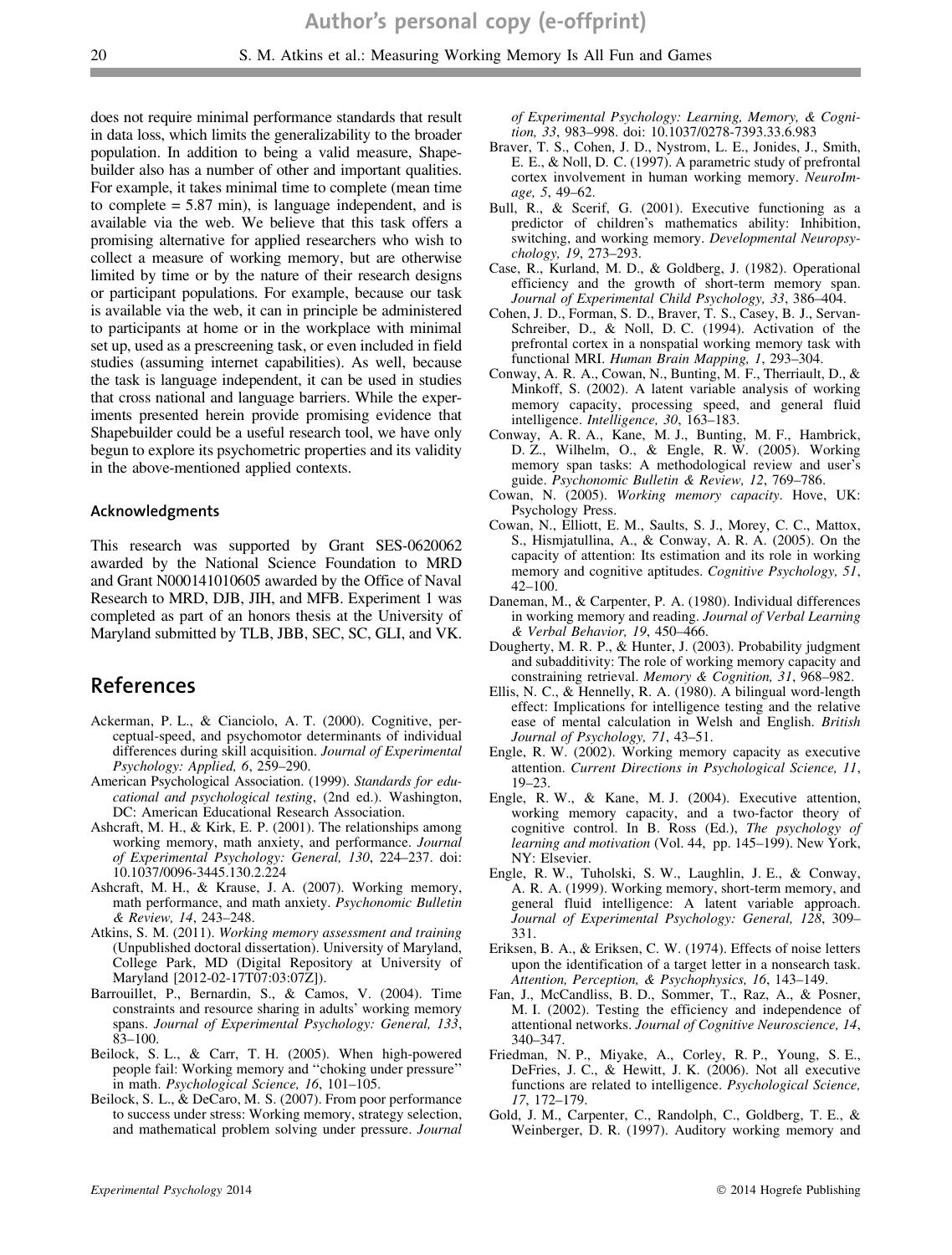does not require minimal performance standards that result in data loss, which limits the generalizability to the broader population. In addition to being a valid measure, Shapebuilder also has a number of other and important qualities. For example, it takes minimal time to complete (mean time to complete = 5.87 min), is language independent, and is available via the web. We believe that this task offers a promising alternative for applied researchers who wish to collect a measure of working memory, but are otherwise limited by time or by the nature of their research designs or participant populations. For example, because our task is available via the web, it can in principle be administered to participants at home or in the workplace with minimal set up, used as a prescreening task, or even included in field studies (assuming internet capabilities). As well, because the task is language independent, it can be used in studies that cross national and language barriers. While the experiments presented herein provide promising evidence that Shapebuilder could be a useful research tool, we have only begun to explore its psychometric properties and its validity in the above-mentioned applied contexts.

#### Acknowledgments

This research was supported by Grant SES-0620062 awarded by the National Science Foundation to MRD and Grant N000141010605 awarded by the Office of Naval Research to MRD, DJB, JIH, and MFB. Experiment 1 was completed as part of an honors thesis at the University of Maryland submitted by TLB, JBB, SEC, SC, GLI, and VK.

#### References

- Ackerman, P. L., & Cianciolo, A. T. (2000). Cognitive, perceptual-speed, and psychomotor determinants of individual differences during skill acquisition. Journal of Experimental Psychology: Applied, 6, 259–290.
- American Psychological Association. (1999). Standards for educational and psychological testing, (2nd ed.). Washington, DC: American Educational Research Association.
- Ashcraft, M. H., & Kirk, E. P. (2001). The relationships among working memory, math anxiety, and performance. Journal of Experimental Psychology: General, 130, 224–237. doi: 10.1037/0096-3445.130.2.224
- Ashcraft, M. H., & Krause, J. A. (2007). Working memory, math performance, and math anxiety. Psychonomic Bulletin & Review, 14, 243–248.
- Atkins, S. M. (2011). Working memory assessment and training (Unpublished doctoral dissertation). University of Maryland, College Park, MD (Digital Repository at University of Maryland [2012-02-17T07:03:07Z]).
- Barrouillet, P., Bernardin, S., & Camos, V. (2004). Time constraints and resource sharing in adults' working memory spans. Journal of Experimental Psychology: General, 133, 83–100.
- Beilock, S. L., & Carr, T. H. (2005). When high-powered people fail: Working memory and ''choking under pressure'' in math. Psychological Science, 16, 101–105.
- Beilock, S. L., & DeCaro, M. S. (2007). From poor performance to success under stress: Working memory, strategy selection, and mathematical problem solving under pressure. Journal

of Experimental Psychology: Learning, Memory, & Cognition, 33, 983–998. doi: 10.1037/0278-7393.33.6.983

- Braver, T. S., Cohen, J. D., Nystrom, L. E., Jonides, J., Smith, E. E., & Noll, D. C. (1997). A parametric study of prefrontal cortex involvement in human working memory. NeuroImage, 5, 49–62.
- Bull, R., & Scerif, G. (2001). Executive functioning as a predictor of children's mathematics ability: Inhibition, switching, and working memory. Developmental Neuropsychology, 19, 273–293.
- Case, R., Kurland, M. D., & Goldberg, J. (1982). Operational efficiency and the growth of short-term memory span. Journal of Experimental Child Psychology, 33, 386–404.
- Cohen, J. D., Forman, S. D., Braver, T. S., Casey, B. J., Servan-Schreiber, D., & Noll, D. C. (1994). Activation of the prefrontal cortex in a nonspatial working memory task with functional MRI. Human Brain Mapping, 1, 293–304.
- Conway, A. R. A., Cowan, N., Bunting, M. F., Therriault, D., & Minkoff, S. (2002). A latent variable analysis of working memory capacity, processing speed, and general fluid intelligence. Intelligence, 30, 163–183.
- Conway, A. R. A., Kane, M. J., Bunting, M. F., Hambrick, D. Z., Wilhelm, O., & Engle, R. W. (2005). Working memory span tasks: A methodological review and user's guide. Psychonomic Bulletin & Review, 12, 769–786.
- Cowan, N. (2005). Working memory capacity. Hove, UK: Psychology Press.
- Cowan, N., Elliott, E. M., Saults, S. J., Morey, C. C., Mattox, S., Hismjatullina, A., & Conway, A. R. A. (2005). On the capacity of attention: Its estimation and its role in working memory and cognitive aptitudes. Cognitive Psychology, 51,  $42 - 100$ .
- Daneman, M., & Carpenter, P. A. (1980). Individual differences in working memory and reading. Journal of Verbal Learning & Verbal Behavior, 19, 450–466.
- Dougherty, M. R. P., & Hunter, J. (2003). Probability judgment and subadditivity: The role of working memory capacity and constraining retrieval. Memory & Cognition, 31, 968–982.
- Ellis, N. C., & Hennelly, R. A. (1980). A bilingual word-length effect: Implications for intelligence testing and the relative ease of mental calculation in Welsh and English. British Journal of Psychology, 71, 43–51.
- Engle, R. W. (2002). Working memory capacity as executive attention. Current Directions in Psychological Science, 11, 19–23.
- Engle, R. W., & Kane, M. J. (2004). Executive attention, working memory capacity, and a two-factor theory of cognitive control. In B. Ross (Ed.), The psychology of learning and motivation (Vol. 44, pp. 145-199). New York, NY: Elsevier.
- Engle, R. W., Tuholski, S. W., Laughlin, J. E., & Conway, A. R. A. (1999). Working memory, short-term memory, and general fluid intelligence: A latent variable approach. Journal of Experimental Psychology: General, 128, 309– 331.
- Eriksen, B. A., & Eriksen, C. W. (1974). Effects of noise letters upon the identification of a target letter in a nonsearch task. Attention, Perception, & Psychophysics, 16, 143–149.
- Fan, J., McCandliss, B. D., Sommer, T., Raz, A., & Posner, M. I. (2002). Testing the efficiency and independence of attentional networks. Journal of Cognitive Neuroscience, 14, 340–347.
- Friedman, N. P., Miyake, A., Corley, R. P., Young, S. E., DeFries, J. C., & Hewitt, J. K. (2006). Not all executive functions are related to intelligence. Psychological Science, 17, 172–179.
- Gold, J. M., Carpenter, C., Randolph, C., Goldberg, T. E., & Weinberger, D. R. (1997). Auditory working memory and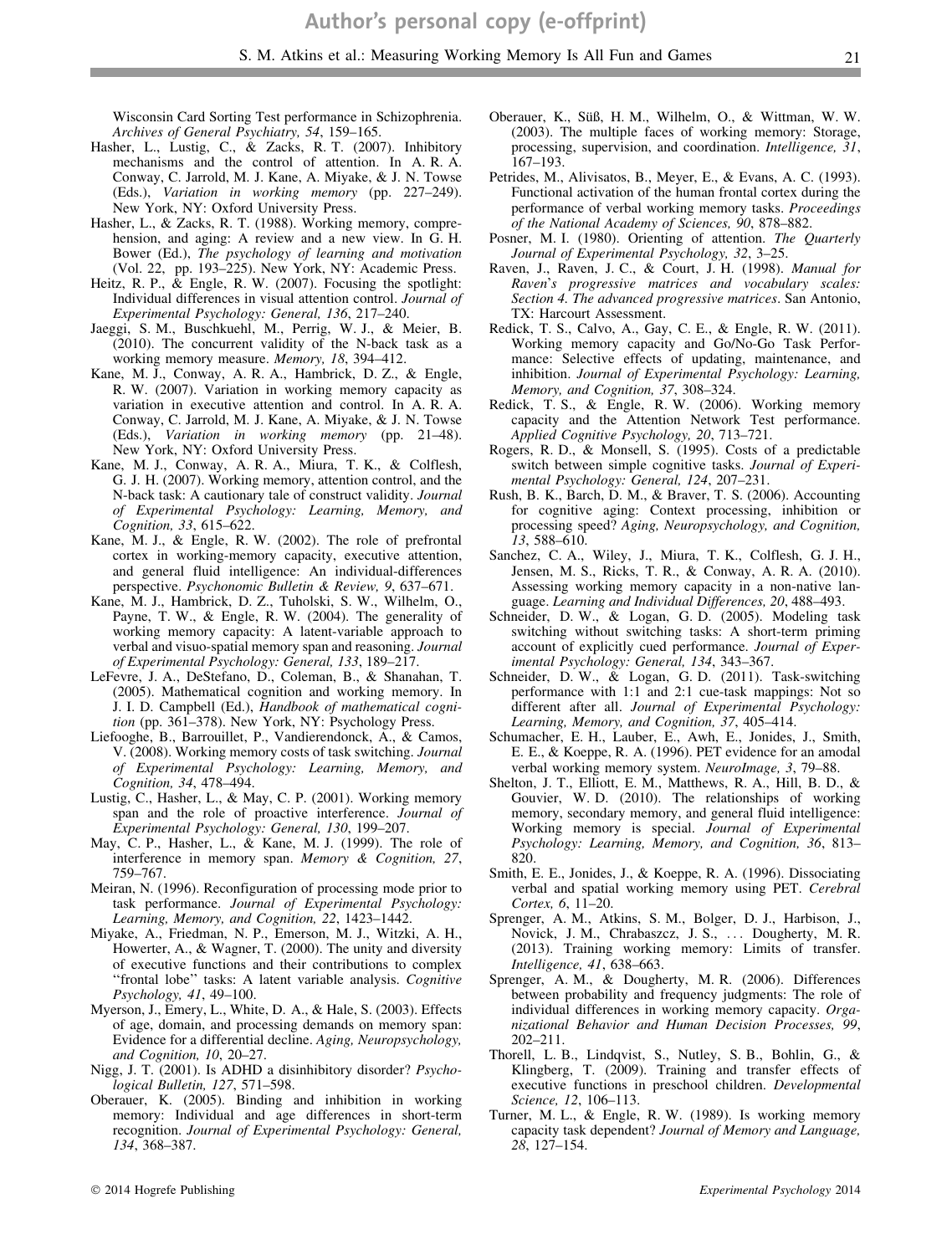Wisconsin Card Sorting Test performance in Schizophrenia. Archives of General Psychiatry, 54, 159–165.

- Hasher, L., Lustig, C., & Zacks, R. T. (2007). Inhibitory mechanisms and the control of attention. In A. R. A. Conway, C. Jarrold, M. J. Kane, A. Miyake, & J. N. Towse (Eds.), Variation in working memory (pp. 227–249). New York, NY: Oxford University Press.
- Hasher, L., & Zacks, R. T. (1988). Working memory, comprehension, and aging: A review and a new view. In G. H. Bower (Ed.), The psychology of learning and motivation (Vol. 22, pp. 193–225). New York, NY: Academic Press.
- Heitz, R. P., & Engle, R. W. (2007). Focusing the spotlight: Individual differences in visual attention control. Journal of Experimental Psychology: General, 136, 217–240.
- Jaeggi, S. M., Buschkuehl, M., Perrig, W. J., & Meier, B. (2010). The concurrent validity of the N-back task as a working memory measure. Memory, 18, 394–412.
- Kane, M. J., Conway, A. R. A., Hambrick, D. Z., & Engle, R. W. (2007). Variation in working memory capacity as variation in executive attention and control. In A. R. A. Conway, C. Jarrold, M. J. Kane, A. Miyake, & J. N. Towse (Eds.), Variation in working memory (pp. 21–48). New York, NY: Oxford University Press.
- Kane, M. J., Conway, A. R. A., Miura, T. K., & Colflesh, G. J. H. (2007). Working memory, attention control, and the N-back task: A cautionary tale of construct validity. Journal of Experimental Psychology: Learning, Memory, and Cognition, 33, 615–622.
- Kane, M. J., & Engle, R. W. (2002). The role of prefrontal cortex in working-memory capacity, executive attention, and general fluid intelligence: An individual-differences perspective. Psychonomic Bulletin & Review, 9, 637–671.
- Kane, M. J., Hambrick, D. Z., Tuholski, S. W., Wilhelm, O., Payne, T. W., & Engle, R. W. (2004). The generality of working memory capacity: A latent-variable approach to verbal and visuo-spatial memory span and reasoning. Journal of Experimental Psychology: General, 133, 189–217.
- LeFevre, J. A., DeStefano, D., Coleman, B., & Shanahan, T. (2005). Mathematical cognition and working memory. In J. I. D. Campbell (Ed.), Handbook of mathematical cognition (pp. 361–378). New York, NY: Psychology Press.
- Liefooghe, B., Barrouillet, P., Vandierendonck, A., & Camos, V. (2008). Working memory costs of task switching. Journal of Experimental Psychology: Learning, Memory, and Cognition, 34, 478–494.
- Lustig, C., Hasher, L., & May, C. P. (2001). Working memory span and the role of proactive interference. Journal of Experimental Psychology: General, 130, 199–207.
- May, C. P., Hasher, L., & Kane, M. J. (1999). The role of interference in memory span. Memory & Cognition, 27, 759–767.
- Meiran, N. (1996). Reconfiguration of processing mode prior to task performance. Journal of Experimental Psychology: Learning, Memory, and Cognition, 22, 1423–1442.
- Miyake, A., Friedman, N. P., Emerson, M. J., Witzki, A. H., Howerter, A., & Wagner, T. (2000). The unity and diversity of executive functions and their contributions to complex "frontal lobe" tasks: A latent variable analysis. Cognitive Psychology, 41, 49–100.
- Myerson, J., Emery, L., White, D. A., & Hale, S. (2003). Effects of age, domain, and processing demands on memory span: Evidence for a differential decline. Aging, Neuropsychology, and Cognition, 10, 20–27.
- Nigg, J. T. (2001). Is ADHD a disinhibitory disorder? Psychological Bulletin, 127, 571–598.
- Oberauer, K. (2005). Binding and inhibition in working memory: Individual and age differences in short-term recognition. Journal of Experimental Psychology: General, 134, 368–387.
- Oberauer, K., Süß, H. M., Wilhelm, O., & Wittman, W. W. (2003). The multiple faces of working memory: Storage, processing, supervision, and coordination. Intelligence, 31, 167–193.
- Petrides, M., Alivisatos, B., Meyer, E., & Evans, A. C. (1993). Functional activation of the human frontal cortex during the performance of verbal working memory tasks. Proceedings of the National Academy of Sciences, 90, 878–882.
- Posner, M. I. (1980). Orienting of attention. The Quarterly Journal of Experimental Psychology, 32, 3–25.
- Raven, J., Raven, J. C., & Court, J. H. (1998). Manual for Raven's progressive matrices and vocabulary scales: Section 4. The advanced progressive matrices. San Antonio, TX: Harcourt Assessment.
- Redick, T. S., Calvo, A., Gay, C. E., & Engle, R. W. (2011). Working memory capacity and Go/No-Go Task Performance: Selective effects of updating, maintenance, and inhibition. Journal of Experimental Psychology: Learning, Memory, and Cognition, 37, 308–324.
- Redick, T. S., & Engle, R. W. (2006). Working memory capacity and the Attention Network Test performance. Applied Cognitive Psychology, 20, 713–721.
- Rogers, R. D., & Monsell, S. (1995). Costs of a predictable switch between simple cognitive tasks. Journal of Experimental Psychology: General, 124, 207–231.
- Rush, B. K., Barch, D. M., & Braver, T. S. (2006). Accounting for cognitive aging: Context processing, inhibition or processing speed? Aging, Neuropsychology, and Cognition, 13, 588–610.
- Sanchez, C. A., Wiley, J., Miura, T. K., Colflesh, G. J. H., Jensen, M. S., Ricks, T. R., & Conway, A. R. A. (2010). Assessing working memory capacity in a non-native language. Learning and Individual Differences, 20, 488–493.
- Schneider, D. W., & Logan, G. D. (2005). Modeling task switching without switching tasks: A short-term priming account of explicitly cued performance. Journal of Experimental Psychology: General, 134, 343–367.
- Schneider, D. W., & Logan, G. D. (2011). Task-switching performance with 1:1 and 2:1 cue-task mappings: Not so different after all. Journal of Experimental Psychology: Learning, Memory, and Cognition, 37, 405–414.
- Schumacher, E. H., Lauber, E., Awh, E., Jonides, J., Smith, E. E., & Koeppe, R. A. (1996). PET evidence for an amodal verbal working memory system. NeuroImage, 3, 79–88.
- Shelton, J. T., Elliott, E. M., Matthews, R. A., Hill, B. D., & Gouvier, W. D. (2010). The relationships of working memory, secondary memory, and general fluid intelligence: Working memory is special. Journal of Experimental Psychology: Learning, Memory, and Cognition, 36, 813– 820.
- Smith, E. E., Jonides, J., & Koeppe, R. A. (1996). Dissociating verbal and spatial working memory using PET. Cerebral Cortex, 6, 11–20.
- Sprenger, A. M., Atkins, S. M., Bolger, D. J., Harbison, J., Novick, J. M., Chrabaszcz, J. S., ... Dougherty, M. R. (2013). Training working memory: Limits of transfer. Intelligence, 41, 638–663.
- Sprenger, A. M., & Dougherty, M. R. (2006). Differences between probability and frequency judgments: The role of individual differences in working memory capacity. Organizational Behavior and Human Decision Processes, 99, 202–211.
- Thorell, L. B., Lindqvist, S., Nutley, S. B., Bohlin, G., & Klingberg, T. (2009). Training and transfer effects of executive functions in preschool children. Developmental Science, 12, 106–113.
- Turner, M. L., & Engle, R. W. (1989). Is working memory capacity task dependent? Journal of Memory and Language, 28, 127–154.